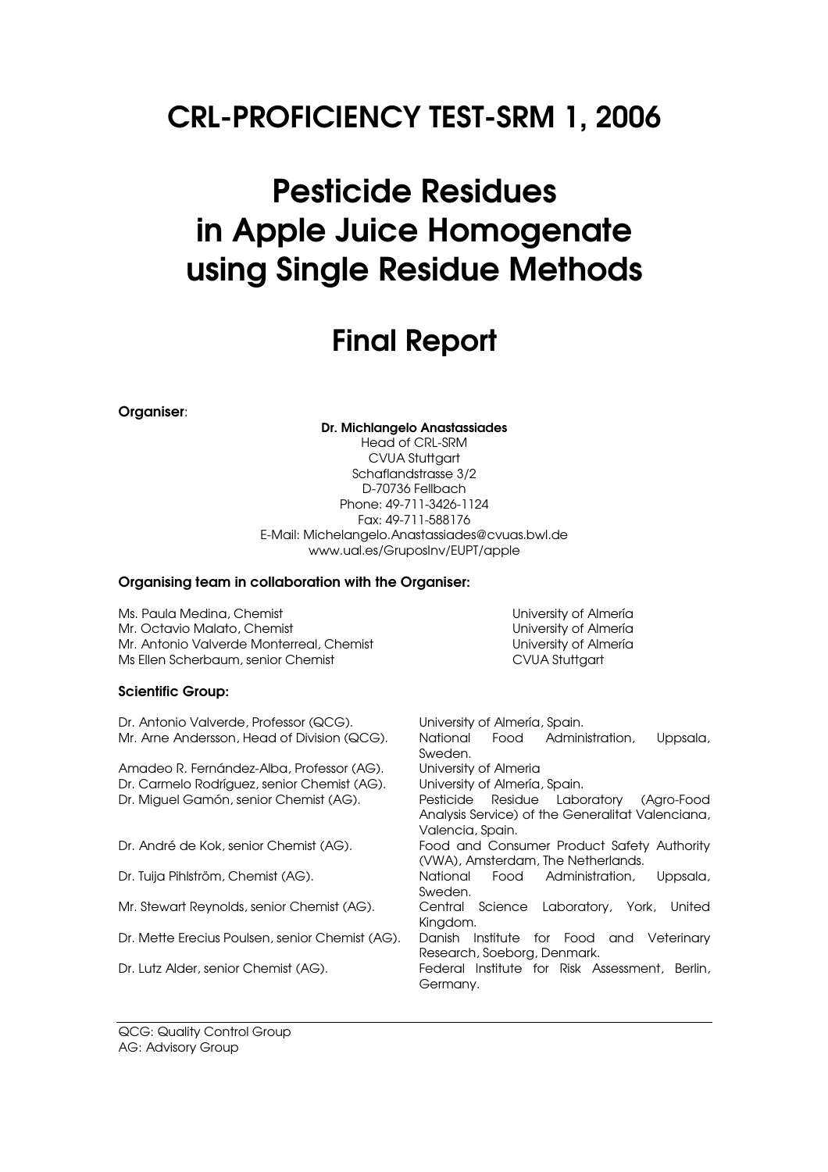# CRL-PROFICIENCY TEST-SRM 1, 2006

# Pesticide Residues in Apple Juice Homogenate using Single Residue Methods

# Final Report

Organiser:

Dr. Michlangelo Anastassiades Head of CRL-SRM CVUA Stuttgart

Schaflandstrasse 3/2 D-70736 Fellbach Phone: 49-711-3426-1124 Fax: 49-711-588176 E-Mail: Michelangelo.Anastassiades@cvuas.bwl.de www.ual.es/GruposInv/EUPT/apple

#### Organising team in collaboration with the Organiser:

Ms. Paula Medina, Chemist University of Almería Mr. Octavio Malato, Chemist Chemist Chemist Chemist University of Almería Mr. Antonio Valverde Monterreal, Chemist Chemist Christian University of Almería Ms Ellen Scherbaum, senior Chemist CVUA Stuttgart

#### Scientific Group:

Dr. Antonio Valverde, Professor (QCG). University of Almería, Spain. Mr. Arne Andersson, Head of Division (QCG). National Food Administration, Uppsala, Sweden. Amadeo R. Fernández-Alba, Professor (AG). University of Almeria Dr. Carmelo Rodríguez, senior Chemist (AG). University of Almería, Spain. Dr. Miguel Gamón, senior Chemist (AG). Pesticide Residue Laboratory (Agro-Food Analysis Service) of the Generalitat Valenciana, Valencia, Spain. Dr. André de Kok, senior Chemist (AG). Food and Consumer Product Safety Authority (VWA), Amsterdam, The Netherlands. Dr. Tuija Pihlström, Chemist (AG). National Food Administration, Uppsala, Sweden. Mr. Stewart Reynolds, senior Chemist (AG). Central Science Laboratory, York, United Kingdom. Dr. Mette Erecius Poulsen, senior Chemist (AG). Danish Institute for Food and Veterinary Research, Soeborg, Denmark. Dr. Lutz Alder, senior Chemist (AG). Federal Institute for Risk Assessment, Berlin, Germany.

QCG: Quality Control Group AG: Advisory Group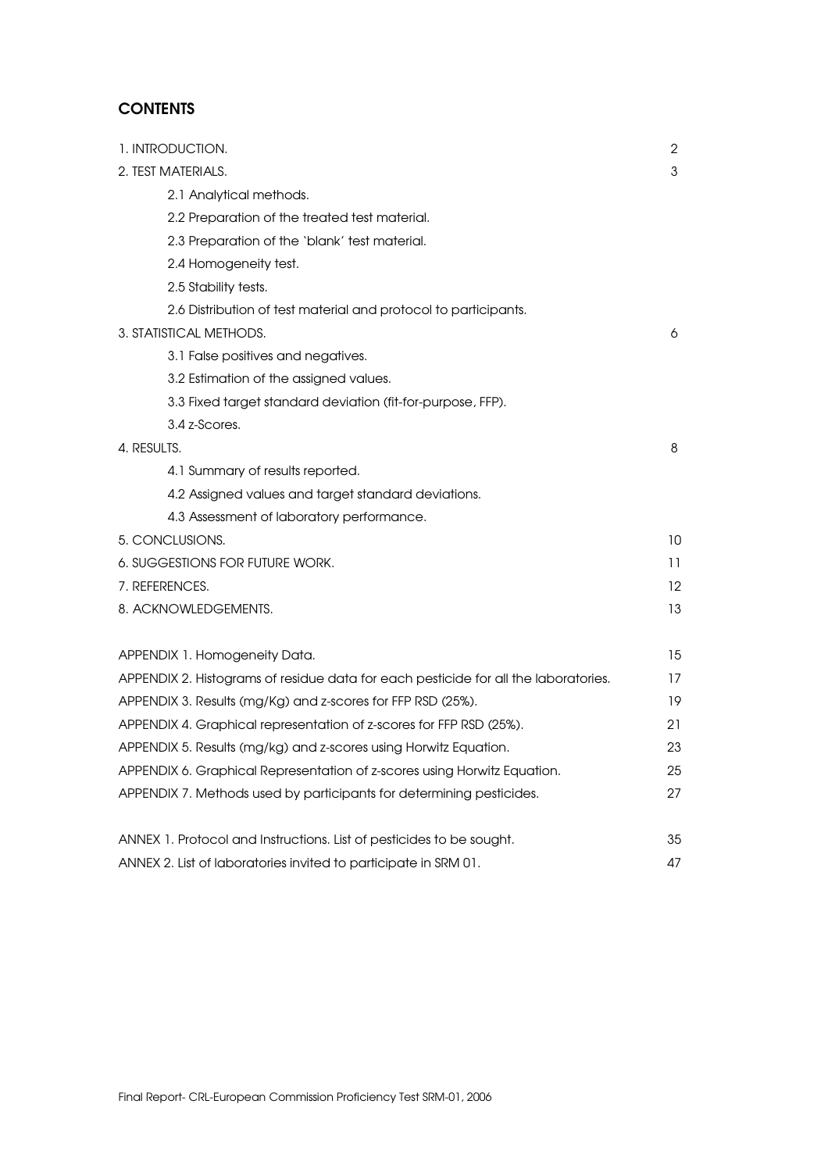## **CONTENTS**

| 1. INTRODUCTION.                                                                           | $\overline{2}$    |
|--------------------------------------------------------------------------------------------|-------------------|
| 2. TEST MATERIALS.                                                                         | 3                 |
| 2.1 Analytical methods.                                                                    |                   |
| 2.2 Preparation of the treated test material.                                              |                   |
| 2.3 Preparation of the 'blank' test material.                                              |                   |
| 2.4 Homogeneity test.                                                                      |                   |
| 2.5 Stability tests.                                                                       |                   |
|                                                                                            |                   |
| 2.6 Distribution of test material and protocol to participants.<br>3. STATISTICAL METHODS. | 6                 |
|                                                                                            |                   |
| 3.1 False positives and negatives.                                                         |                   |
| 3.2 Estimation of the assigned values.                                                     |                   |
| 3.3 Fixed target standard deviation (fit-for-purpose, FFP).<br>3.4 z-Scores.               |                   |
| 4. RESULTS.                                                                                | 8                 |
|                                                                                            |                   |
| 4.1 Summary of results reported.                                                           |                   |
| 4.2 Assigned values and target standard deviations.                                        |                   |
| 4.3 Assessment of laboratory performance.                                                  |                   |
| 5. CONCLUSIONS.                                                                            | 10                |
| 6. SUGGESTIONS FOR FUTURE WORK.                                                            | 11                |
| 7. REFERENCES.                                                                             | $12 \overline{ }$ |
| 8. ACKNOWLEDGEMENTS.                                                                       | 13                |
|                                                                                            |                   |
| APPENDIX 1. Homogeneity Data.                                                              | 15                |
| APPENDIX 2. Histograms of residue data for each pesticide for all the laboratories.        | 17                |
| APPENDIX 3. Results (mg/Kg) and z-scores for FFP RSD (25%).                                | 19                |
| APPENDIX 4. Graphical representation of z-scores for FFP RSD (25%).                        | 21                |
| APPENDIX 5. Results (mg/kg) and z-scores using Horwitz Equation.                           | 23                |
| APPENDIX 6. Graphical Representation of z-scores using Horwitz Equation.                   | 25                |
| APPENDIX 7. Methods used by participants for determining pesticides.                       | 27                |
| ANNEX 1. Protocol and Instructions. List of pesticides to be sought.                       | 35                |
| ANNEX 2. List of laboratories invited to participate in SRM 01.                            | 47                |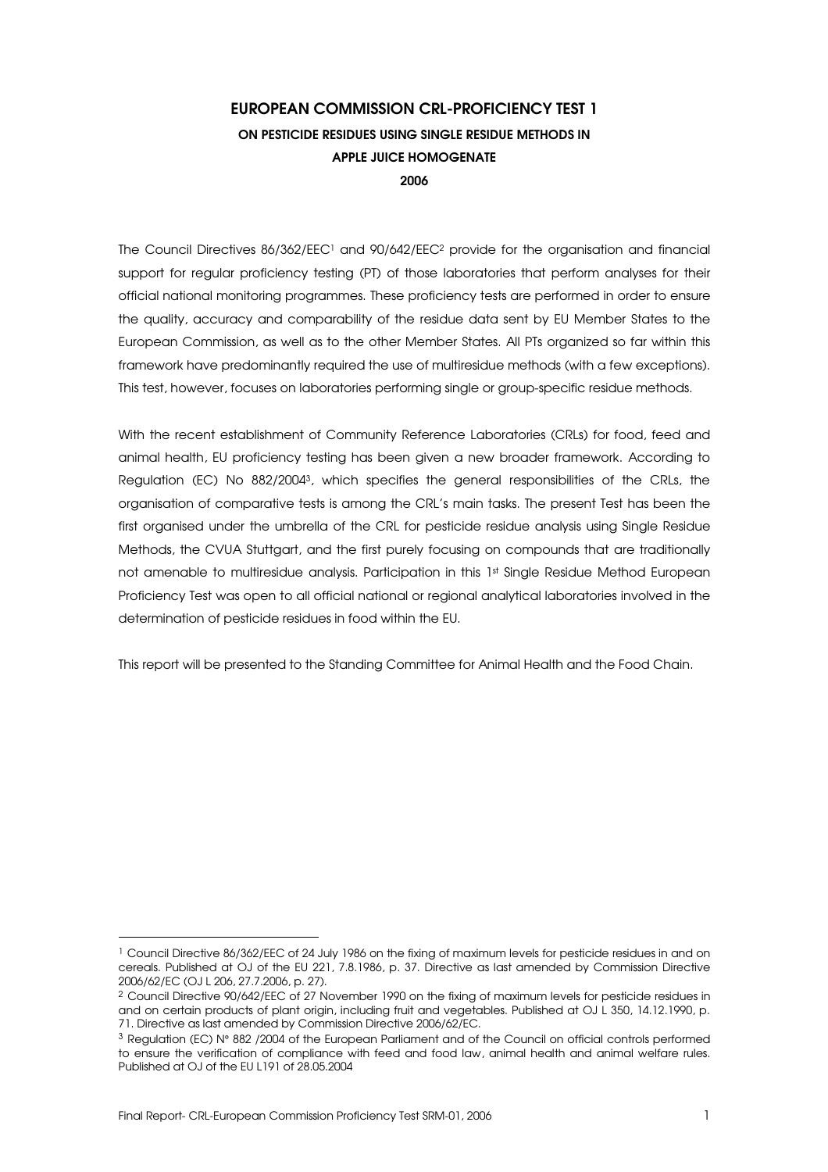## EUROPEAN COMMISSION CRL-PROFICIENCY TEST 1 ON PESTICIDE RESIDUES USING SINGLE RESIDUE METHODS IN APPLE JUICE HOMOGENATE 2006

The Council Directives  $86/362/\text{EEC}^1$  and  $90/642/\text{EEC}^2$  provide for the organisation and financial support for regular proficiency testing (PT) of those laboratories that perform analyses for their official national monitoring programmes. These proficiency tests are performed in order to ensure the quality, accuracy and comparability of the residue data sent by EU Member States to the European Commission, as well as to the other Member States. All PTs organized so far within this framework have predominantly required the use of multiresidue methods (with a few exceptions). This test, however, focuses on laboratories performing single or group-specific residue methods.

With the recent establishment of Community Reference Laboratories (CRLs) for food, feed and animal health, EU proficiency testing has been given a new broader framework. According to Regulation (EC) No 882/2004<sup>3</sup> , which specifies the general responsibilities of the CRLs, the organisation of comparative tests is among the CRL's main tasks. The present Test has been the first organised under the umbrella of the CRL for pesticide residue analysis using Single Residue Methods, the CVUA Stuttgart, and the first purely focusing on compounds that are traditionally not amenable to multiresidue analysis. Participation in this 1st Single Residue Method European Proficiency Test was open to all official national or regional analytical laboratories involved in the determination of pesticide residues in food within the EU.

This report will be presented to the Standing Committee for Animal Health and the Food Chain.

 $\overline{a}$ 

<sup>&</sup>lt;sup>1</sup> Council Directive 86/362/EEC of 24 July 1986 on the fixing of maximum levels for pesticide residues in and on cereals. Published at OJ of the EU 221, 7.8.1986, p. 37. Directive as last amended by Commission Directive 2006/62/EC (OJ L 206, 27.7.2006, p. 27).

<sup>2</sup> Council Directive 90/642/EEC of 27 November 1990 on the fixing of maximum levels for pesticide residues in and on certain products of plant origin, including fruit and vegetables. Published at OJ L 350, 14.12.1990, p. 71. Directive as last amended by Commission Directive 2006/62/EC.

<sup>3</sup> Regulation (EC) N° 882 /2004 of the European Parliament and of the Council on official controls performed to ensure the verification of compliance with feed and food law, animal health and animal welfare rules. Published at OJ of the EU L191 of 28.05.2004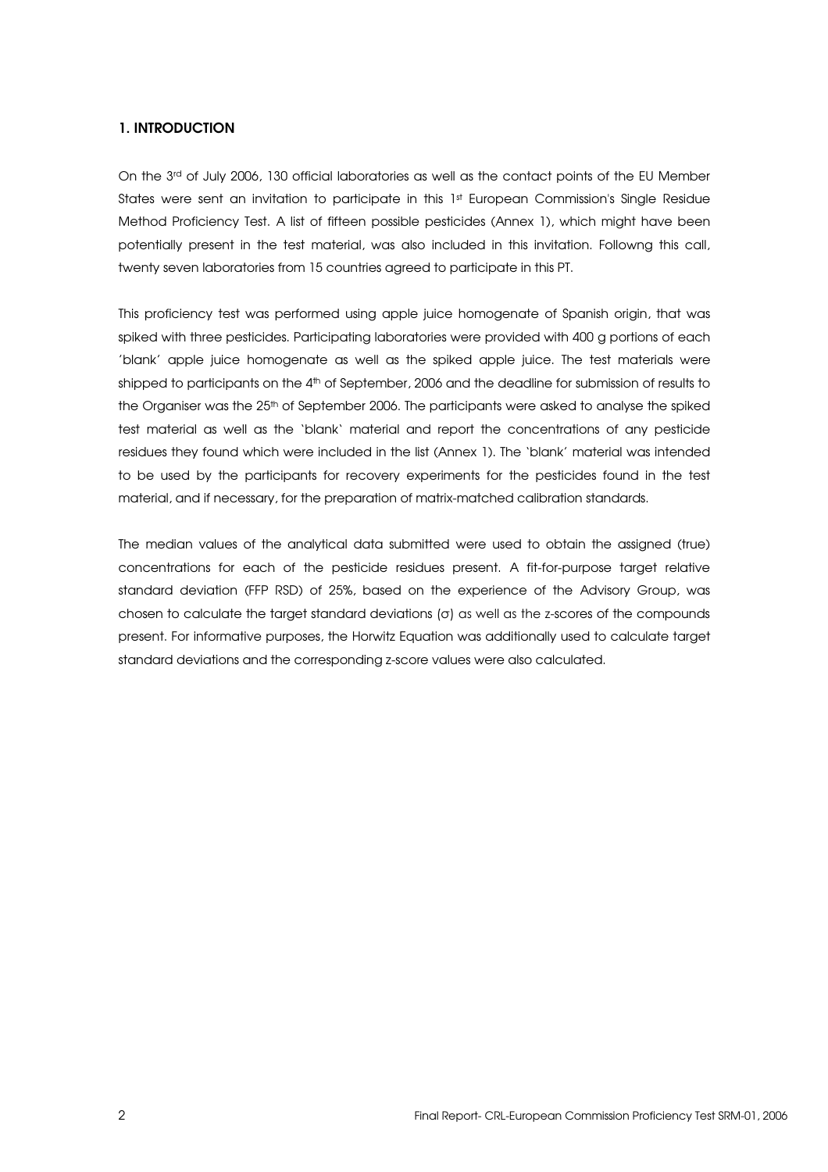### 1. INTRODUCTION

On the 3rd of July 2006, 130 official laboratories as well as the contact points of the EU Member States were sent an invitation to participate in this 1st European Commission's Single Residue Method Proficiency Test. A list of fifteen possible pesticides (Annex 1), which might have been potentially present in the test material, was also included in this invitation. Followng this call, twenty seven laboratories from 15 countries agreed to participate in this PT.

This proficiency test was performed using apple juice homogenate of Spanish origin, that was spiked with three pesticides. Participating laboratories were provided with 400 g portions of each 'blank' apple juice homogenate as well as the spiked apple juice. The test materials were shipped to participants on the 4<sup>th</sup> of September, 2006 and the deadline for submission of results to the Organiser was the 25<sup>th</sup> of September 2006. The participants were asked to analyse the spiked test material as well as the 'blank' material and report the concentrations of any pesticide residues they found which were included in the list (Annex 1). The 'blank' material was intended to be used by the participants for recovery experiments for the pesticides found in the test material, and if necessary, for the preparation of matrix-matched calibration standards.

The median values of the analytical data submitted were used to obtain the assigned (true) concentrations for each of the pesticide residues present. A fit-for-purpose target relative standard deviation (FFP RSD) of 25%, based on the experience of the Advisory Group, was chosen to calculate the target standard deviations  $(\sigma)$  as well as the z-scores of the compounds present. For informative purposes, the Horwitz Equation was additionally used to calculate target standard deviations and the corresponding z-score values were also calculated.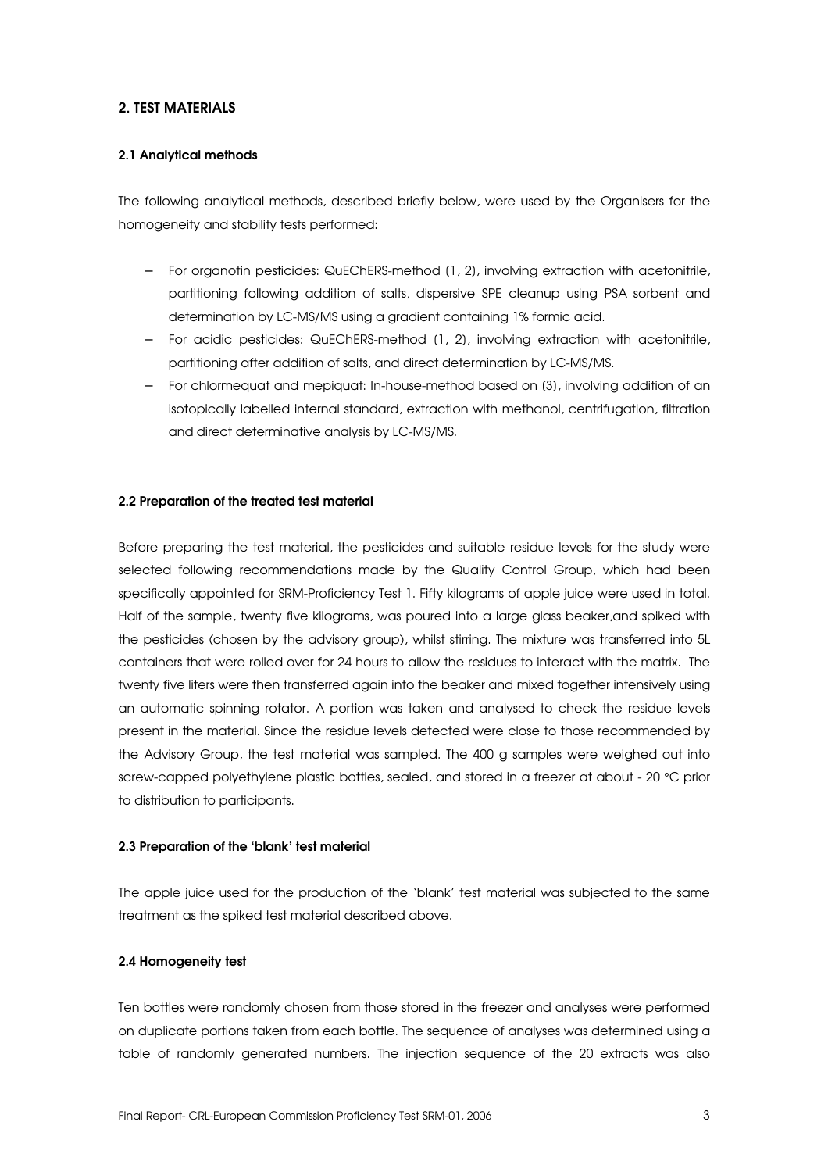## 2. TEST MATERIALS

#### 2.1 Analytical methods

The following analytical methods, described briefly below, were used by the Organisers for the homogeneity and stability tests performed:

- − For organotin pesticides: QuEChERS-method [1, 2], involving extraction with acetonitrile, partitioning following addition of salts, dispersive SPE cleanup using PSA sorbent and determination by LC-MS/MS using a gradient containing 1% formic acid.
- − For acidic pesticides: QuEChERS-method [1, 2], involving extraction with acetonitrile, partitioning after addition of salts, and direct determination by LC-MS/MS.
- − For chlormequat and mepiquat: In-house-method based on [3], involving addition of an isotopically labelled internal standard, extraction with methanol, centrifugation, filtration and direct determinative analysis by LC-MS/MS.

#### 2.2 Preparation of the treated test material

Before preparing the test material, the pesticides and suitable residue levels for the study were selected following recommendations made by the Quality Control Group, which had been specifically appointed for SRM-Proficiency Test 1. Fifty kilograms of apple juice were used in total. Half of the sample, twenty five kilograms, was poured into a large glass beaker,and spiked with the pesticides (chosen by the advisory group), whilst stirring. The mixture was transferred into 5L containers that were rolled over for 24 hours to allow the residues to interact with the matrix. The twenty five liters were then transferred again into the beaker and mixed together intensively using an automatic spinning rotator. A portion was taken and analysed to check the residue levels present in the material. Since the residue levels detected were close to those recommended by the Advisory Group, the test material was sampled. The 400 g samples were weighed out into screw-capped polyethylene plastic bottles, sealed, and stored in a freezer at about - 20 °C prior to distribution to participants.

#### 2.3 Preparation of the 'blank' test material

The apple juice used for the production of the 'blank' test material was subjected to the same treatment as the spiked test material described above.

#### 2.4 Homogeneity test

Ten bottles were randomly chosen from those stored in the freezer and analyses were performed on duplicate portions taken from each bottle. The sequence of analyses was determined using a table of randomly generated numbers. The injection sequence of the 20 extracts was also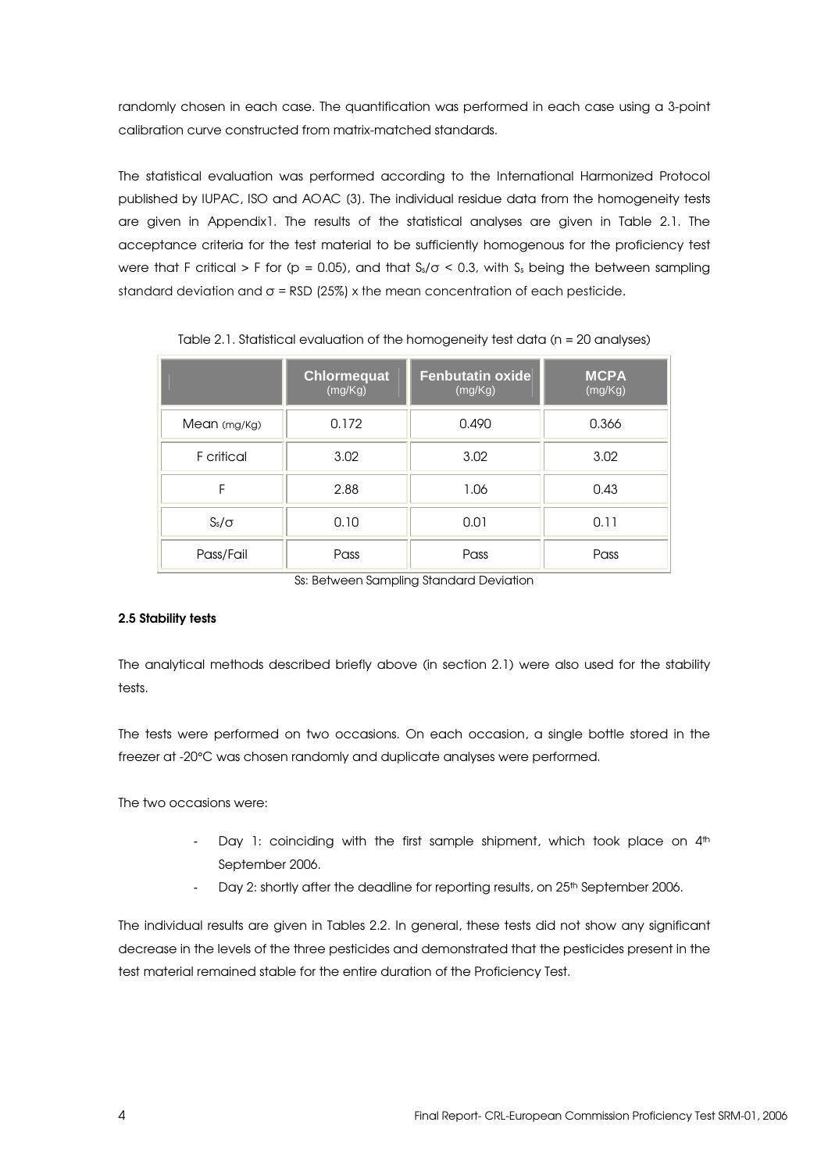randomly chosen in each case. The quantification was performed in each case using a 3-point calibration curve constructed from matrix-matched standards.

The statistical evaluation was performed according to the International Harmonized Protocol published by IUPAC, ISO and AOAC [3]. The individual residue data from the homogeneity tests are given in Appendix1. The results of the statistical analyses are given in Table 2.1. The acceptance criteria for the test material to be sufficiently homogenous for the proficiency test were that F critical > F for (p = 0.05), and that  $S_s/\sigma < 0.3$ , with  $S_s$  being the between sampling standard deviation and  $\sigma$  = RSD (25%) x the mean concentration of each pesticide.

|              | <b>Chlormequat</b><br>(mg/Kg) | <b>Fenbutatin oxide</b><br>(mg/Kg) | <b>MCPA</b><br>(mg/Kg) |  |
|--------------|-------------------------------|------------------------------------|------------------------|--|
| Mean (mg/Kg) | 0.172                         | 0.490                              | 0.366                  |  |
| F critical   | 3.02                          | 3.02                               | 3.02                   |  |
| F            | 2.88                          | 1.06                               | 0.43                   |  |
| $S_s/\sigma$ | 0.10                          | 0.01                               | 0.11                   |  |
| Pass/Fail    | Pass                          | Pass                               | Pass                   |  |

Table 2.1. Statistical evaluation of the homogeneity test data (n = 20 analyses)

Ss: Between Sampling Standard Deviation

## 2.5 Stability tests

The analytical methods described briefly above (in section 2.1) were also used for the stability tests.

The tests were performed on two occasions. On each occasion, a single bottle stored in the freezer at -20°C was chosen randomly and duplicate analyses were performed.

The two occasions were:

- Day 1: coinciding with the first sample shipment, which took place on  $4<sup>th</sup>$ September 2006.
- Day 2: shortly after the deadline for reporting results, on 25<sup>th</sup> September 2006.

The individual results are given in Tables 2.2. In general, these tests did not show any significant decrease in the levels of the three pesticides and demonstrated that the pesticides present in the test material remained stable for the entire duration of the Proficiency Test.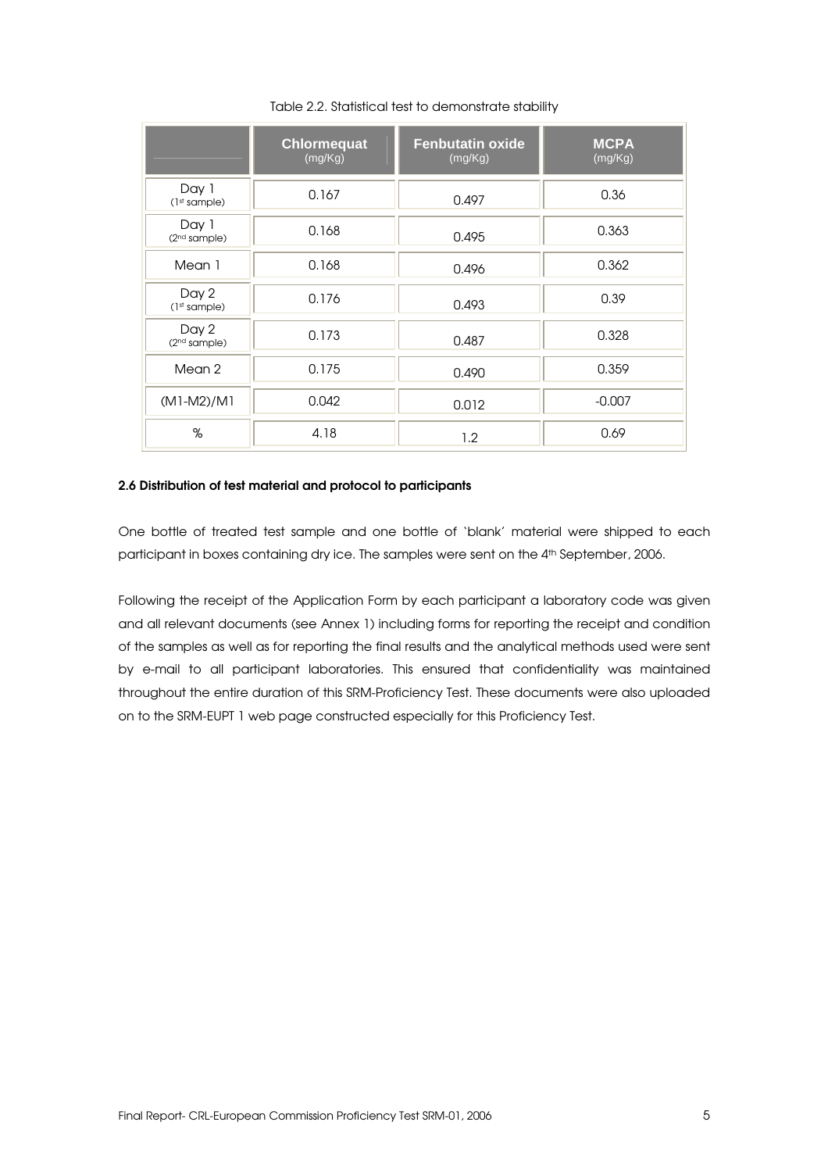|                                   | <b>Chlormequat</b><br>(mg/Kg) | <b>Fenbutatin oxide</b><br>(mg/Kg) | <b>MCPA</b><br>(mg/Kg) |
|-----------------------------------|-------------------------------|------------------------------------|------------------------|
| Day 1<br>(1 <sup>st</sup> sample) | 0.167                         | 0.497                              | 0.36                   |
| Day 1<br>(2 <sup>nd</sup> sample) | 0.168                         | 0.495                              | 0.363                  |
| Mean 1                            | 0.168                         | 0.496                              | 0.362                  |
| Day 2<br>(1 <sup>st</sup> sample) | 0.176                         | 0.493                              | 0.39                   |
| Day 2<br>(2 <sup>nd</sup> sample) | 0.173                         | 0.487                              | 0.328                  |
| Mean 2                            | 0.175                         | 0.490                              | 0.359                  |
| $(M1-M2)/M1$                      | 0.042                         | 0.012                              | $-0.007$               |
| %                                 | 4.18                          | 1.2                                | 0.69                   |

Table 2.2. Statistical test to demonstrate stability

#### 2.6 Distribution of test material and protocol to participants

One bottle of treated test sample and one bottle of 'blank' material were shipped to each participant in boxes containing dry ice. The samples were sent on the 4<sup>th</sup> September, 2006.

Following the receipt of the Application Form by each participant a laboratory code was given and all relevant documents (see Annex 1) including forms for reporting the receipt and condition of the samples as well as for reporting the final results and the analytical methods used were sent by e-mail to all participant laboratories. This ensured that confidentiality was maintained throughout the entire duration of this SRM-Proficiency Test. These documents were also uploaded on to the SRM-EUPT 1 web page constructed especially for this Proficiency Test.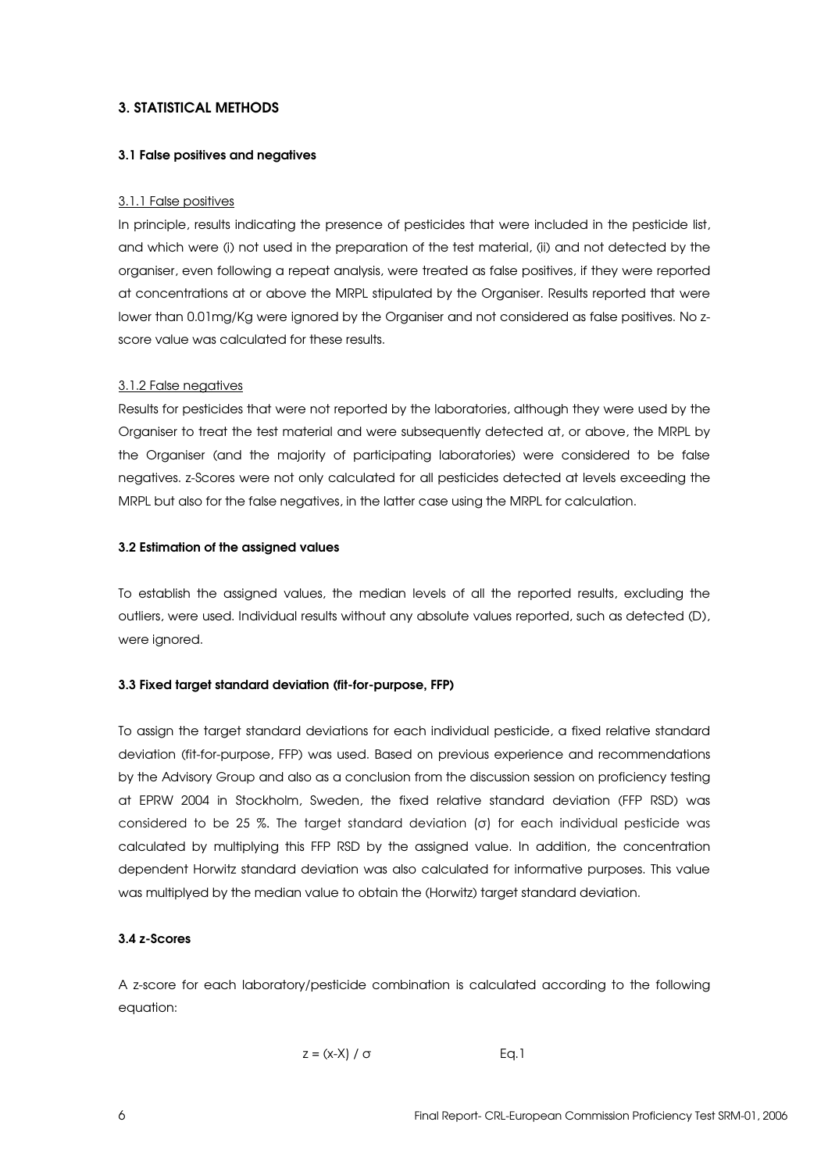## 3. STATISTICAL METHODS

#### 3.1 False positives and negatives

#### 3.1.1 False positives

In principle, results indicating the presence of pesticides that were included in the pesticide list, and which were (i) not used in the preparation of the test material, (ii) and not detected by the organiser, even following a repeat analysis, were treated as false positives, if they were reported at concentrations at or above the MRPL stipulated by the Organiser. Results reported that were lower than 0.01mg/Kg were ignored by the Organiser and not considered as false positives. No zscore value was calculated for these results.

#### 3.1.2 False negatives

Results for pesticides that were not reported by the laboratories, although they were used by the Organiser to treat the test material and were subsequently detected at, or above, the MRPL by the Organiser (and the majority of participating laboratories) were considered to be false negatives. z-Scores were not only calculated for all pesticides detected at levels exceeding the MRPL but also for the false negatives, in the latter case using the MRPL for calculation.

#### 3.2 Estimation of the assigned values

To establish the assigned values, the median levels of all the reported results, excluding the outliers, were used. Individual results without any absolute values reported, such as detected (D), were ignored.

#### 3.3 Fixed target standard deviation (fit-for-purpose, FFP)

To assign the target standard deviations for each individual pesticide, a fixed relative standard deviation (fit-for-purpose, FFP) was used. Based on previous experience and recommendations by the Advisory Group and also as a conclusion from the discussion session on proficiency testing at EPRW 2004 in Stockholm, Sweden, the fixed relative standard deviation (FFP RSD) was considered to be 25 %. The target standard deviation (σ) for each individual pesticide was calculated by multiplying this FFP RSD by the assigned value. In addition, the concentration dependent Horwitz standard deviation was also calculated for informative purposes. This value was multiplyed by the median value to obtain the (Horwitz) target standard deviation.

#### 3.4 z-Scores

A z-score for each laboratory/pesticide combination is calculated according to the following equation:

```
z = (x-X) / \sigma Eq.1
```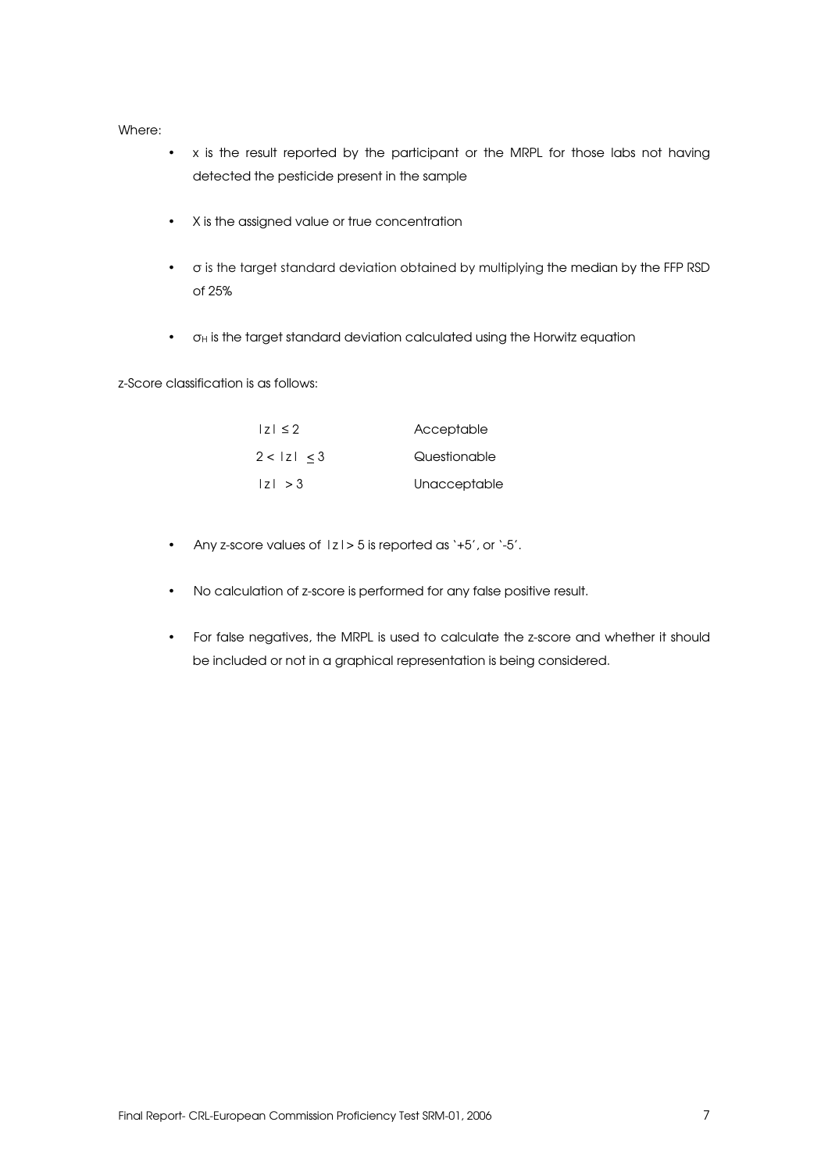Where:

- x is the result reported by the participant or the MRPL for those labs not having detected the pesticide present in the sample
- X is the assigned value or true concentration
- $\bullet$   $\circ$  is the target standard deviation obtained by multiplying the median by the FFP RSD of 25%
- $\bullet$   $\sigma$ H is the target standard deviation calculated using the Horwitz equation

z-Score classification is as follows:

| $ 7  \leq 2$ | Acceptable   |
|--------------|--------------|
| 2 <  z  < 3  | Questionable |
| z  > 3       | Unacceptable |

- Any z-score values of |z|> 5 is reported as '+5', or '-5'.
- No calculation of z-score is performed for any false positive result.
- For false negatives, the MRPL is used to calculate the z-score and whether it should be included or not in a graphical representation is being considered.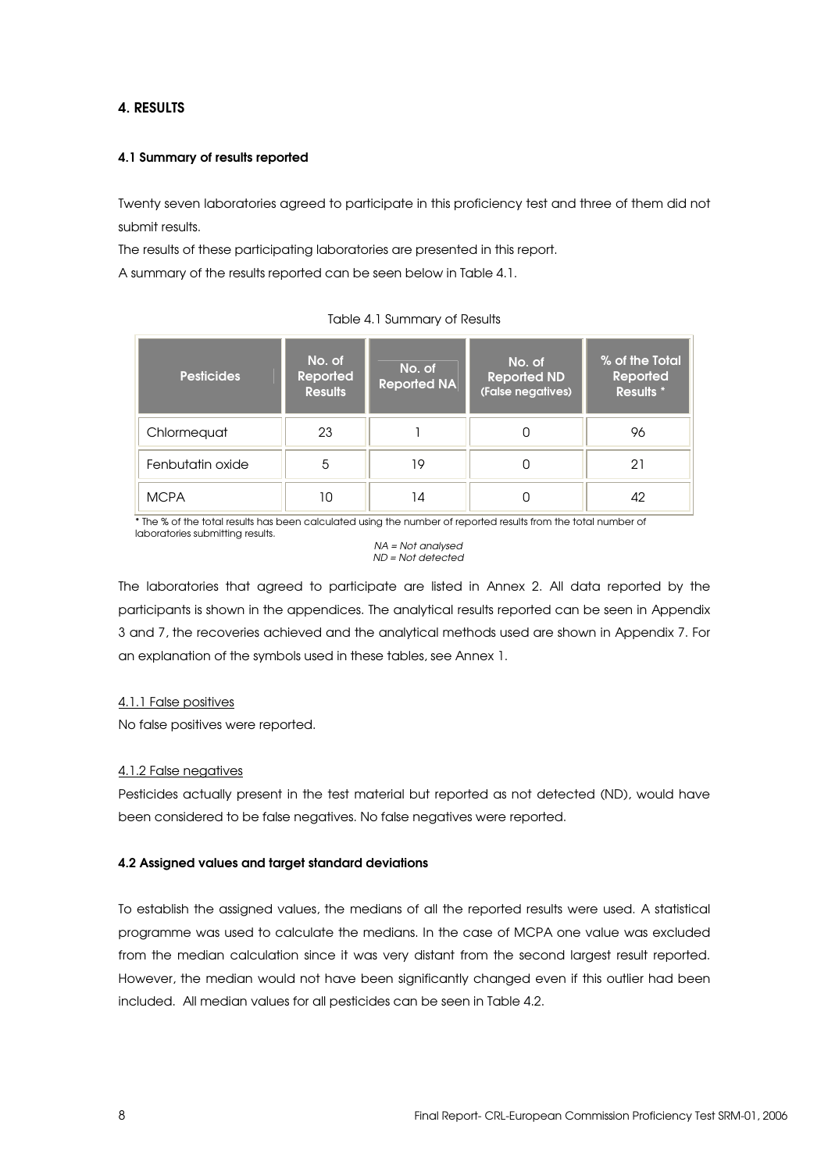## 4. RESULTS

### 4.1 Summary of results reported

Twenty seven laboratories agreed to participate in this proficiency test and three of them did not submit results.

The results of these participating laboratories are presented in this report.

A summary of the results reported can be seen below in Table 4.1.

| <b>Pesticides</b> | No. of<br>Reported<br><b>Results</b> | No. of<br><b>Reported NA</b> | No. of<br>Reported ND<br>(False negatives) | % of the Total<br>Reported<br><b>Results</b> * |
|-------------------|--------------------------------------|------------------------------|--------------------------------------------|------------------------------------------------|
| Chlormeguat       | 23                                   |                              |                                            | 96                                             |
| Fenbutatin oxide  | 5                                    | 19                           | 0                                          | 21                                             |
| <b>MCPA</b>       | 10                                   | 14                           |                                            |                                                |

Table 4.1 Summary of Results

\* The % of the total results has been calculated using the number of reported results from the total number of laboratories submitting results.

NA = Not analysed ND = Not detected

The laboratories that agreed to participate are listed in Annex 2. All data reported by the participants is shown in the appendices. The analytical results reported can be seen in Appendix 3 and 7, the recoveries achieved and the analytical methods used are shown in Appendix 7. For an explanation of the symbols used in these tables, see Annex 1.

### 4.1.1 False positives

No false positives were reported.

#### 4.1.2 False negatives

Pesticides actually present in the test material but reported as not detected (ND), would have been considered to be false negatives. No false negatives were reported.

### 4.2 Assigned values and target standard deviations

To establish the assigned values, the medians of all the reported results were used. A statistical programme was used to calculate the medians. In the case of MCPA one value was excluded from the median calculation since it was very distant from the second largest result reported. However, the median would not have been significantly changed even if this outlier had been included. All median values for all pesticides can be seen in Table 4.2.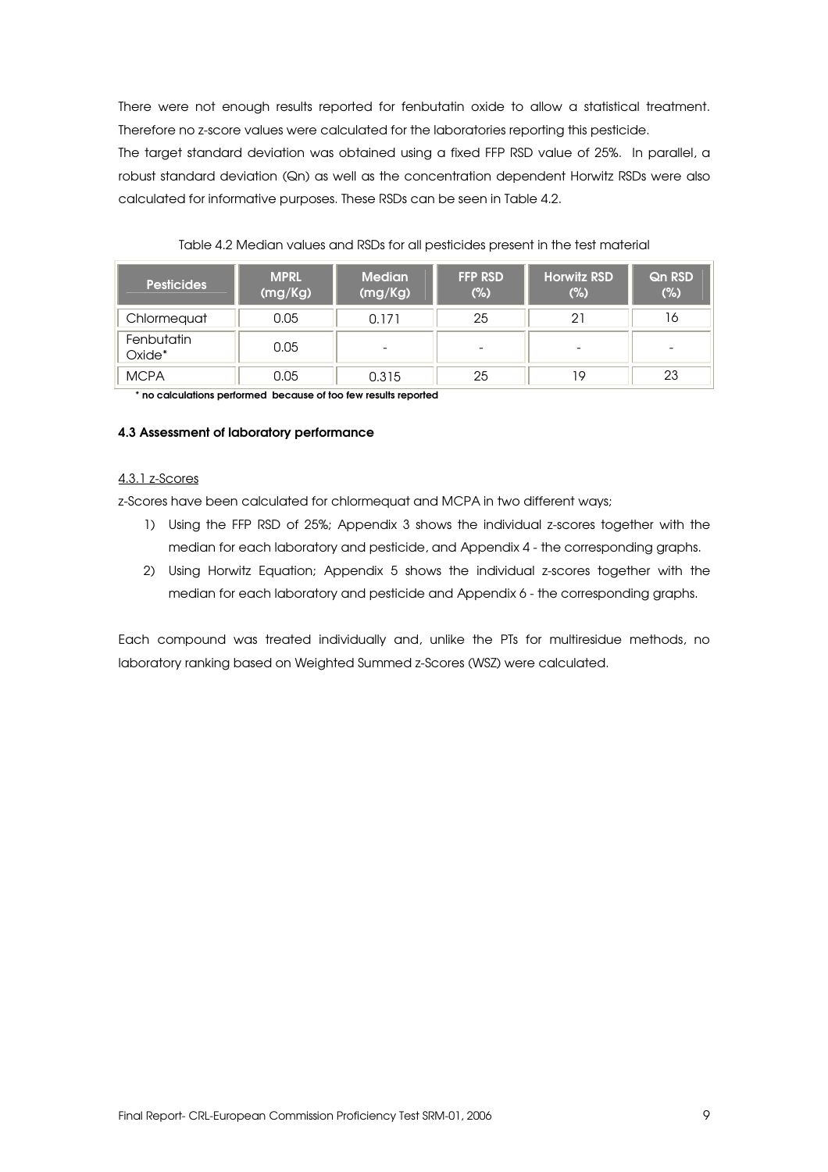There were not enough results reported for fenbutatin oxide to allow a statistical treatment. Therefore no z-score values were calculated for the laboratories reporting this pesticide. The target standard deviation was obtained using a fixed FFP RSD value of 25%. In parallel, a robust standard deviation (Qn) as well as the concentration dependent Horwitz RSDs were also calculated for informative purposes. These RSDs can be seen in Table 4.2.

| <b>Pesticides</b>    | <b>MPRL</b><br>(mg/Kg) | <b>Median</b><br>(mg/Kg) | <b>FFP RSD</b><br>(%)    | <b>Horwitz RSD</b><br>$(\%)$ | <b>Qn RSD</b><br>(%) |
|----------------------|------------------------|--------------------------|--------------------------|------------------------------|----------------------|
| Chlormequat          | 0.05                   | 0.171                    | 25                       | 2.                           | 16                   |
| Fenbutatin<br>Oxide* | 0.05                   | $\overline{\phantom{0}}$ | $\overline{\phantom{0}}$ | -                            | -                    |
| <b>MCPA</b>          | 0.05                   | 0.315                    | 25                       | 19                           | 23                   |

Table 4.2 Median values and RSDs for all pesticides present in the test material

\* no calculations performed because of too few results reported

#### 4.3 Assessment of laboratory performance

#### 4.3.1 z-Scores

z-Scores have been calculated for chlormequat and MCPA in two different ways;

- 1) Using the FFP RSD of 25%; Appendix 3 shows the individual z-scores together with the median for each laboratory and pesticide, and Appendix 4 - the corresponding graphs.
- 2) Using Horwitz Equation; Appendix 5 shows the individual z-scores together with the median for each laboratory and pesticide and Appendix 6 - the corresponding graphs.

Each compound was treated individually and, unlike the PTs for multiresidue methods, no laboratory ranking based on Weighted Summed z-Scores (WSZ) were calculated.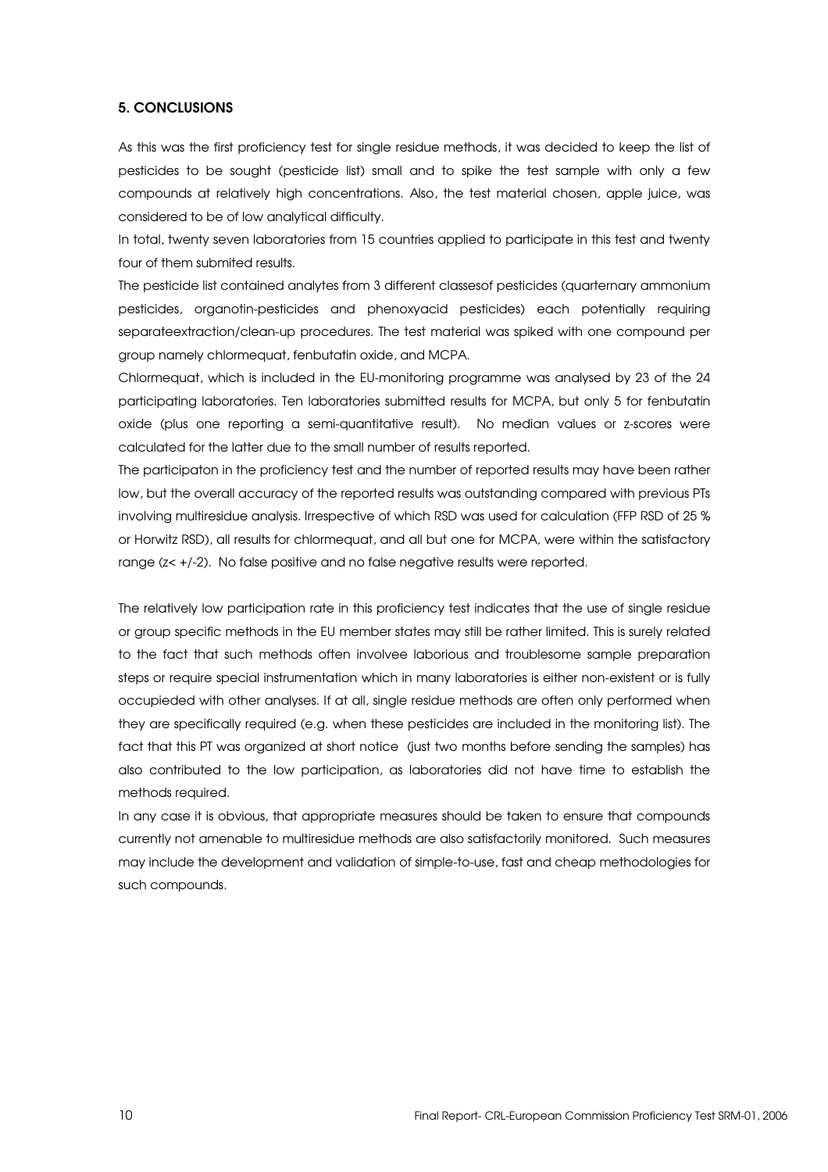#### 5. CONCLUSIONS

As this was the first proficiency test for single residue methods, it was decided to keep the list of pesticides to be sought (pesticide list) small and to spike the test sample with only a few compounds at relatively high concentrations. Also, the test material chosen, apple juice, was considered to be of low analytical difficulty.

In total, twenty seven laboratories from 15 countries applied to participate in this test and twenty four of them submited results.

The pesticide list contained analytes from 3 different classesof pesticides (quarternary ammonium pesticides, organotin-pesticides and phenoxyacid pesticides) each potentially requiring separateextraction/clean-up procedures. The test material was spiked with one compound per group namely chlormequat, fenbutatin oxide, and MCPA.

Chlormequat, which is included in the EU-monitoring programme was analysed by 23 of the 24 participating laboratories. Ten laboratories submitted results for MCPA, but only 5 for fenbutatin oxide (plus one reporting a semi-quantitative result). No median values or z-scores were calculated for the latter due to the small number of results reported.

The participaton in the proficiency test and the number of reported results may have been rather low, but the overall accuracy of the reported results was outstanding compared with previous PTs involving multiresidue analysis. Irrespective of which RSD was used for calculation (FFP RSD of 25 % or Horwitz RSD), all results for chlormequat, and all but one for MCPA, were within the satisfactory range (z< +/-2). No false positive and no false negative results were reported.

The relatively low participation rate in this proficiency test indicates that the use of single residue or group specific methods in the EU member states may still be rather limited. This is surely related to the fact that such methods often involvee laborious and troublesome sample preparation steps or require special instrumentation which in many laboratories is either non-existent or is fully occupieded with other analyses. If at all, single residue methods are often only performed when they are specifically required (e.g. when these pesticides are included in the monitoring list). The fact that this PT was organized at short notice (just two months before sending the samples) has also contributed to the low participation, as laboratories did not have time to establish the methods required.

In any case it is obvious, that appropriate measures should be taken to ensure that compounds currently not amenable to multiresidue methods are also satisfactorily monitored. Such measures may include the development and validation of simple-to-use, fast and cheap methodologies for such compounds.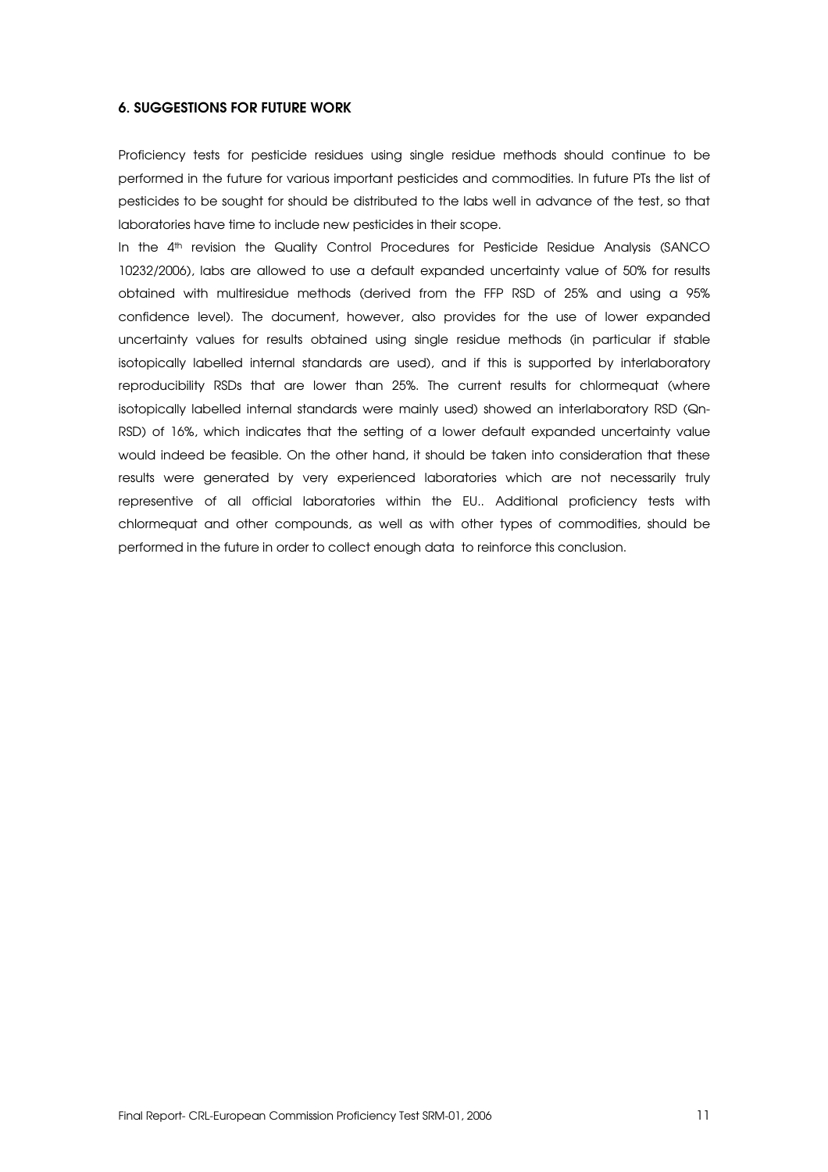#### 6. SUGGESTIONS FOR FUTURE WORK

Proficiency tests for pesticide residues using single residue methods should continue to be performed in the future for various important pesticides and commodities. In future PTs the list of pesticides to be sought for should be distributed to the labs well in advance of the test, so that laboratories have time to include new pesticides in their scope.

In the 4<sup>th</sup> revision the Quality Control Procedures for Pesticide Residue Analysis (SANCO 10232/2006), labs are allowed to use a default expanded uncertainty value of 50% for results obtained with multiresidue methods (derived from the FFP RSD of 25% and using a 95% confidence level). The document, however, also provides for the use of lower expanded uncertainty values for results obtained using single residue methods (in particular if stable isotopically labelled internal standards are used), and if this is supported by interlaboratory reproducibility RSDs that are lower than 25%. The current results for chlormequat (where isotopically labelled internal standards were mainly used) showed an interlaboratory RSD (Qn-RSD) of 16%, which indicates that the setting of a lower default expanded uncertainty value would indeed be feasible. On the other hand, it should be taken into consideration that these results were generated by very experienced laboratories which are not necessarily truly representive of all official laboratories within the EU.. Additional proficiency tests with chlormequat and other compounds, as well as with other types of commodities, should be performed in the future in order to collect enough data to reinforce this conclusion.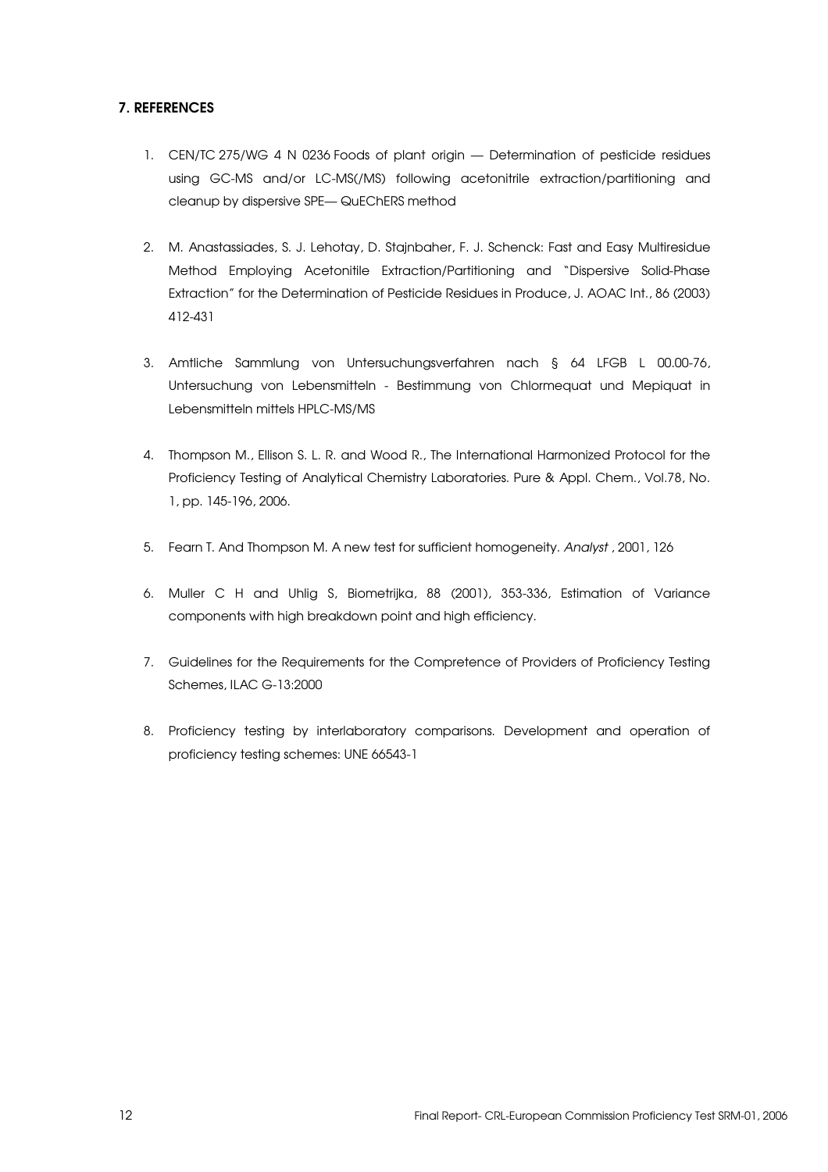## 7. REFERENCES

- 1. CEN/TC 275/WG 4 N 0236 Foods of plant origin Determination of pesticide residues using GC-MS and/or LC-MS(/MS) following acetonitrile extraction/partitioning and cleanup by dispersive SPE— QuEChERS method
- 2. M. Anastassiades, S. J. Lehotay, D. Stajnbaher, F. J. Schenck: Fast and Easy Multiresidue Method Employing Acetonitile Extraction/Partitioning and "Dispersive Solid-Phase Extraction" for the Determination of Pesticide Residues in Produce, J. AOAC Int., 86 (2003) 412-431
- 3. Amtliche Sammlung von Untersuchungsverfahren nach § 64 LFGB L 00.00-76, Untersuchung von Lebensmitteln - Bestimmung von Chlormequat und Mepiquat in Lebensmitteln mittels HPLC-MS/MS
- 4. Thompson M., Ellison S. L. R. and Wood R., The International Harmonized Protocol for the Proficiency Testing of Analytical Chemistry Laboratories. Pure & Appl. Chem., Vol.78, No. 1, pp. 145-196, 2006.
- 5. Fearn T. And Thompson M. A new test for sufficient homogeneity. Analyst , 2001, 126
- 6. Muller C H and Uhlig S, Biometrijka, 88 (2001), 353-336, Estimation of Variance components with high breakdown point and high efficiency.
- 7. Guidelines for the Requirements for the Compretence of Providers of Proficiency Testing Schemes, ILAC G-13:2000
- 8. Proficiency testing by interlaboratory comparisons. Development and operation of proficiency testing schemes: UNE 66543-1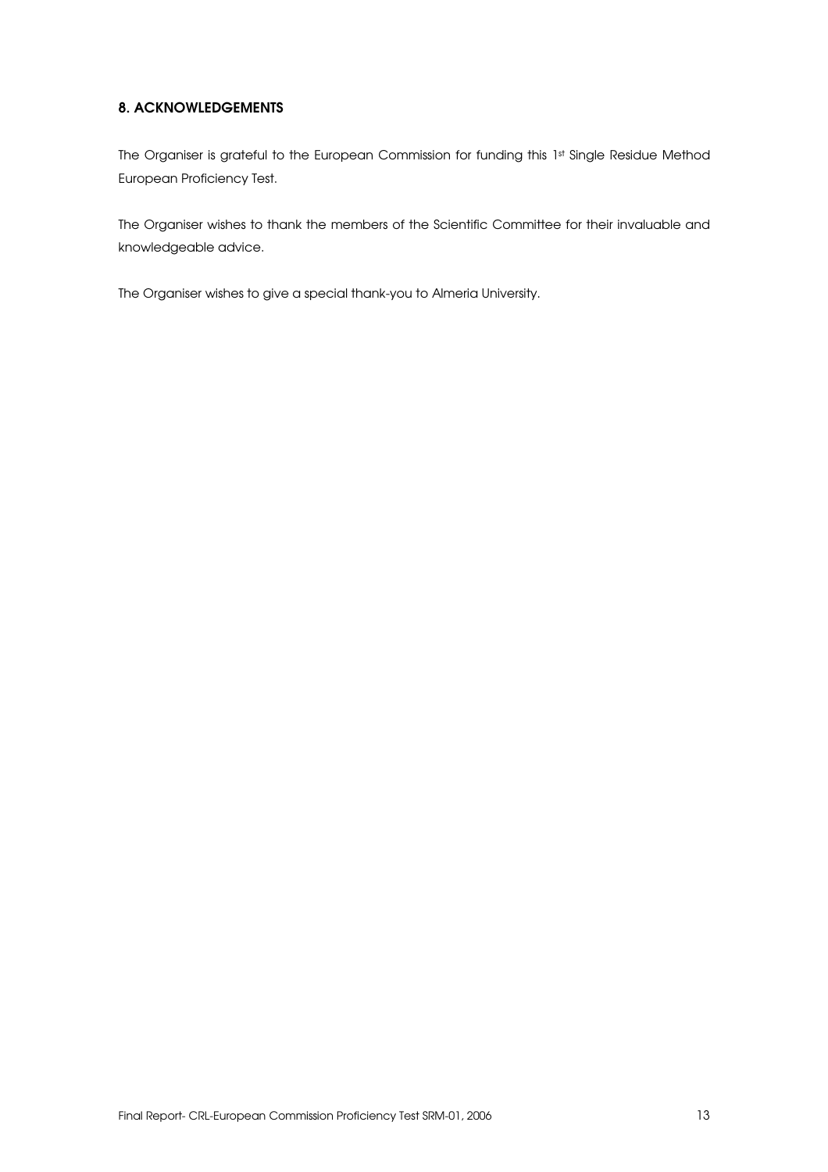## 8. ACKNOWLEDGEMENTS

The Organiser is grateful to the European Commission for funding this 1st Single Residue Method European Proficiency Test.

The Organiser wishes to thank the members of the Scientific Committee for their invaluable and knowledgeable advice.

The Organiser wishes to give a special thank-you to Almeria University.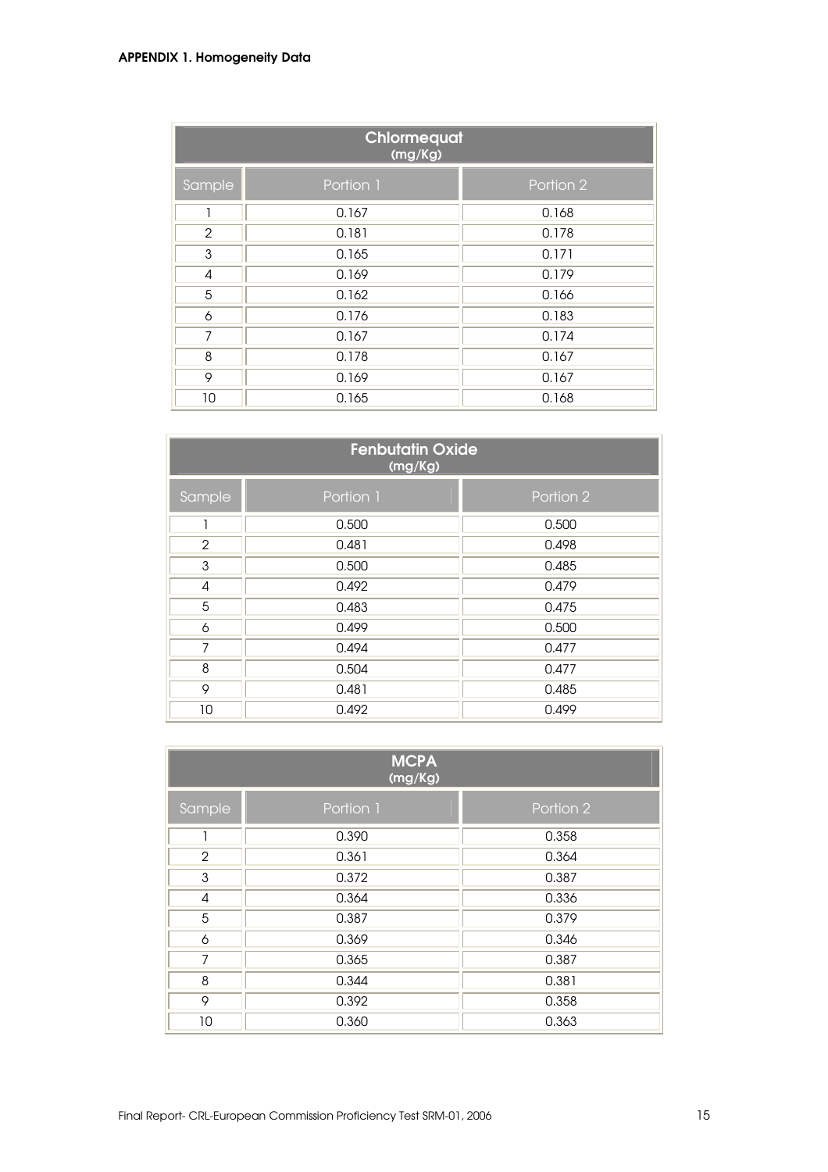## APPENDIX 1. Homogeneity Data

| Chlormequat<br>(mg/Kg) |           |           |  |  |  |  |
|------------------------|-----------|-----------|--|--|--|--|
| Sample                 | Portion 1 | Portion 2 |  |  |  |  |
| 1                      | 0.167     | 0.168     |  |  |  |  |
| $\overline{2}$         | 0.181     | 0.178     |  |  |  |  |
| 3                      | 0.165     | 0.171     |  |  |  |  |
| 4                      | 0.169     | 0.179     |  |  |  |  |
| 5                      | 0.162     | 0.166     |  |  |  |  |
| 6                      | 0.176     | 0.183     |  |  |  |  |
| 7                      | 0.167     | 0.174     |  |  |  |  |
| 8                      | 0.178     | 0.167     |  |  |  |  |
| 9                      | 0.169     | 0.167     |  |  |  |  |
| 10                     | 0.165     | 0.168     |  |  |  |  |

| <b>Fenbutatin Oxide</b><br>(mg/Kg) |           |           |  |  |  |
|------------------------------------|-----------|-----------|--|--|--|
| Sample                             | Portion 1 | Portion 2 |  |  |  |
|                                    | 0.500     | 0.500     |  |  |  |
| 2                                  | 0.481     | 0.498     |  |  |  |
| 3                                  | 0.500     | 0.485     |  |  |  |
| 4                                  | 0.492     | 0.479     |  |  |  |
| 5                                  | 0.483     | 0.475     |  |  |  |
| 6                                  | 0.499     | 0.500     |  |  |  |
| 7                                  | 0.494     | 0.477     |  |  |  |
| 8                                  | 0.504     | 0.477     |  |  |  |
| 9                                  | 0.481     | 0.485     |  |  |  |
| 10                                 | 0.492     | 0.499     |  |  |  |

|                | <b>MCPA</b><br>(mg/Kg) |           |
|----------------|------------------------|-----------|
| Sample         | Portion 1              | Portion 2 |
| ٦              | 0.390                  | 0.358     |
| $\overline{2}$ | 0.361                  | 0.364     |
| 3              | 0.372                  | 0.387     |
| 4              | 0.364                  | 0.336     |
| 5              | 0.387                  | 0.379     |
| 6              | 0.369                  | 0.346     |
| 7              | 0.365                  | 0.387     |
| 8              | 0.344                  | 0.381     |
| 9              | 0.392                  | 0.358     |
| 10             | 0.360                  | 0.363     |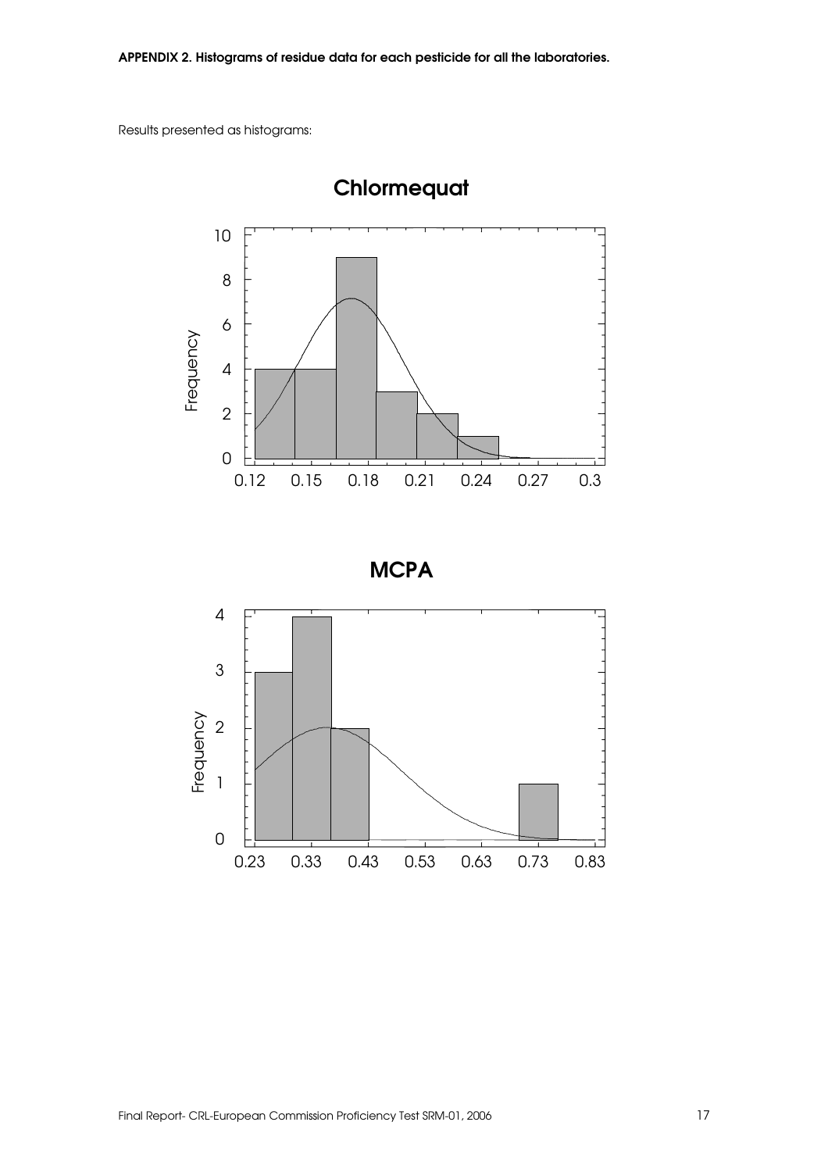Results presented as histograms:



Chlormequat

**MCPA** 

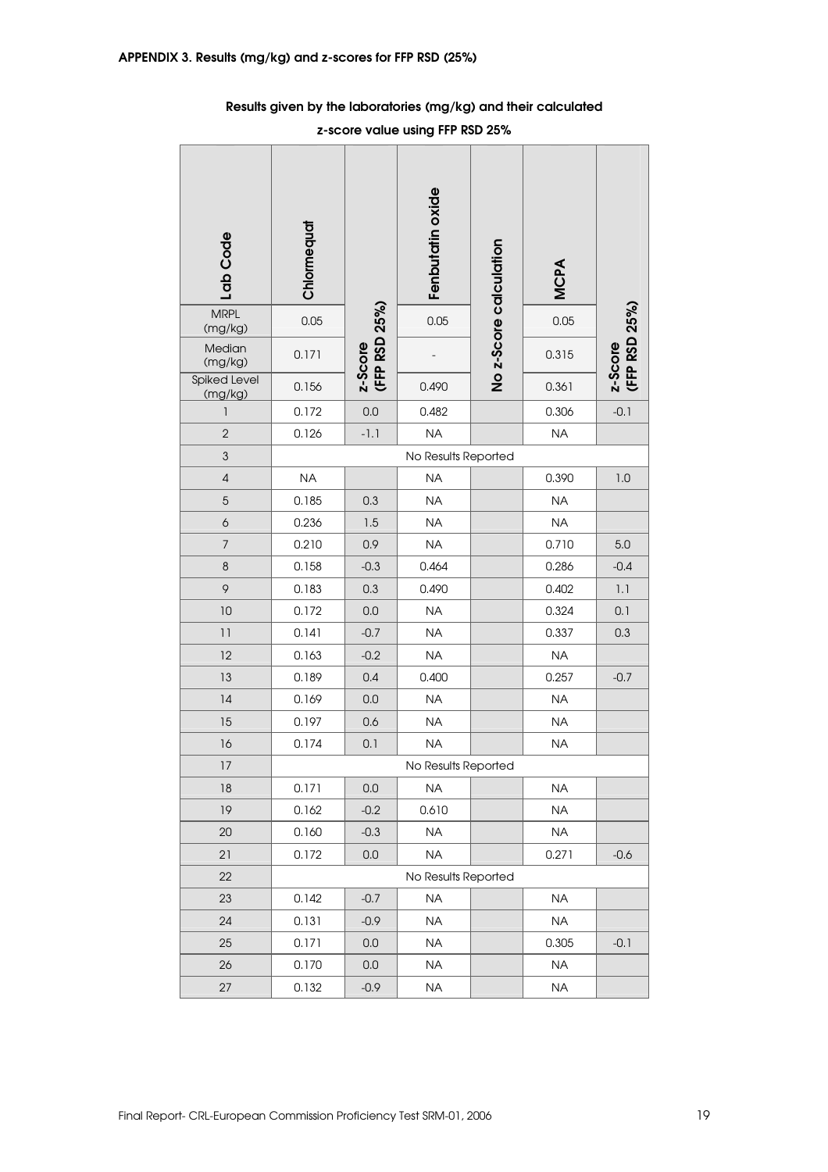| Lab Code                | Chlormequat |                          | Fenbutatin oxide    | No z-Score calculation | <b>MCPA</b> |                          |
|-------------------------|-------------|--------------------------|---------------------|------------------------|-------------|--------------------------|
| <b>MRPL</b><br>(mg/kg)  | 0.05        |                          | 0.05                |                        | 0.05        |                          |
| Median<br>(mg/kg)       | 0.171       | z-Score<br>(FFP RSD 25%) |                     |                        | 0.315       | z-Score<br>(FFP RSD 25%) |
| Spiked Level<br>(mg/kg) | 0.156       |                          | 0.490               |                        | 0.361       |                          |
| 1                       | 0.172       | 0.0                      | 0.482               |                        | 0.306       | $-0.1$                   |
| $\overline{2}$          | 0.126       | $-1.1$                   | <b>NA</b>           |                        | <b>NA</b>   |                          |
| $\mathfrak{S}$          |             |                          | No Results Reported |                        |             |                          |
| $\sqrt{4}$              | <b>NA</b>   |                          | <b>NA</b>           |                        | 0.390       | 1.0                      |
| $\sqrt{5}$              | 0.185       | 0.3                      | <b>NA</b>           |                        | <b>NA</b>   |                          |
| $\boldsymbol{6}$        | 0.236       | 1.5                      | <b>NA</b>           |                        | <b>NA</b>   |                          |
| $\overline{7}$          | 0.210       | 0.9                      | <b>NA</b>           |                        | 0.710       | 5.0                      |
| $\,8\,$                 | 0.158       | $-0.3$                   | 0.464               |                        | 0.286       | $-0.4$                   |
| 9                       | 0.183       | 0.3                      | 0.490               |                        | 0.402       | 1.1                      |
| 10                      | 0.172       | 0.0                      | <b>NA</b>           |                        | 0.324       | 0.1                      |
| 11                      | 0.141       | $-0.7$                   | <b>NA</b>           |                        | 0.337       | 0.3                      |
| 12                      | 0.163       | $-0.2$                   | <b>NA</b>           |                        | <b>NA</b>   |                          |
| 13                      | 0.189       | 0.4                      | 0.400               |                        | 0.257       | $-0.7$                   |
| 14                      | 0.169       | 0.0                      | <b>NA</b>           |                        | <b>NA</b>   |                          |
| 15                      | 0.197       | 0.6                      | <b>NA</b>           |                        | <b>NA</b>   |                          |
| 16                      | 0.174       | 0.1                      | <b>NA</b>           |                        | <b>NA</b>   |                          |
| 17                      |             |                          | No Results Reported |                        |             |                          |
| 18                      | 0.171       | 0.0                      | <b>NA</b>           |                        | <b>NA</b>   |                          |
| 19                      | 0.162       | $-0.2$                   | 0.610               |                        | <b>NA</b>   |                          |
| 20                      | 0.160       | $-0.3$                   | <b>NA</b>           |                        | <b>NA</b>   |                          |
| 21                      | 0.172       | 0.0                      | <b>NA</b>           |                        | 0.271       | $-0.6$                   |
| 22                      |             |                          | No Results Reported |                        |             |                          |
| 23                      | 0.142       | $-0.7$                   | <b>NA</b>           |                        | <b>NA</b>   |                          |
| 24                      | 0.131       | $-0.9$                   | <b>NA</b>           |                        | <b>NA</b>   |                          |
| 25                      | 0.171       | 0.0                      | <b>NA</b>           |                        | 0.305       | $-0.1$                   |
| 26                      | 0.170       | 0.0                      | <b>NA</b>           |                        | <b>NA</b>   |                          |
| $27\,$                  | 0.132       | $-0.9$                   | NA                  |                        | <b>NA</b>   |                          |

## Results given by the laboratories (mg/kg) and their calculated

z-score value using FFP RSD 25%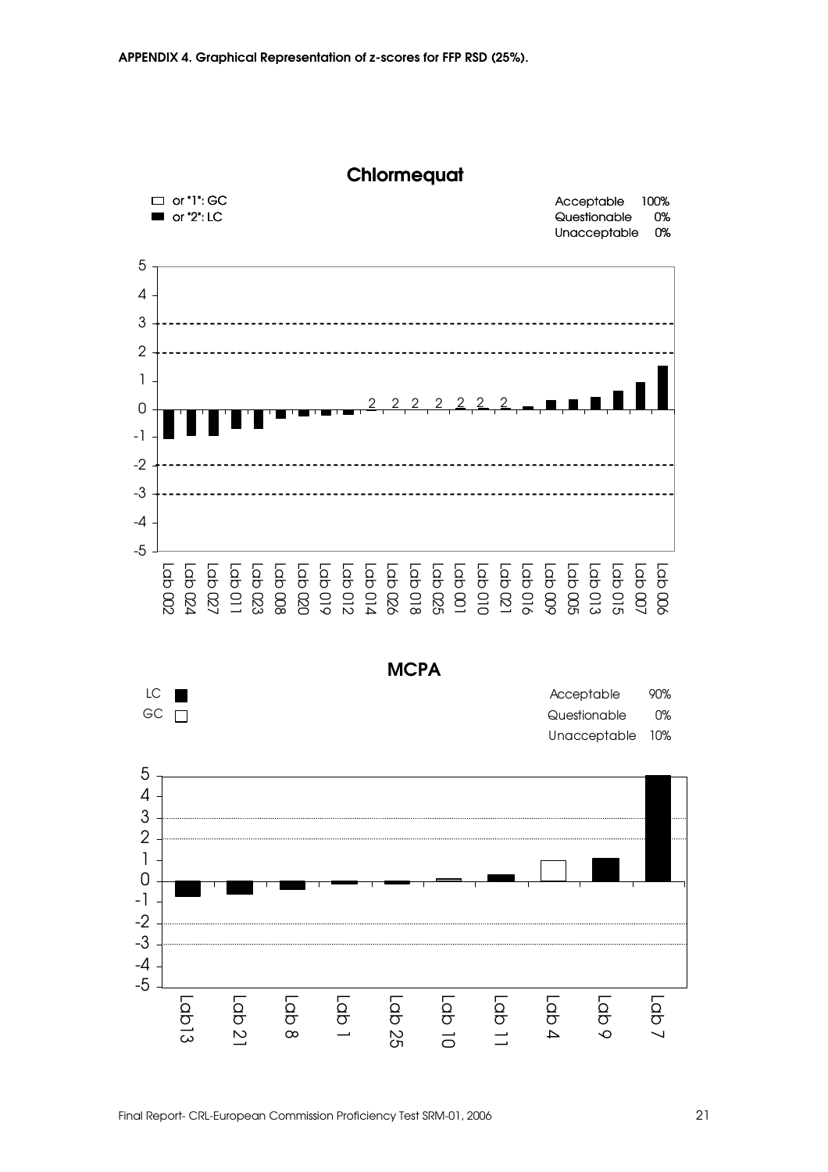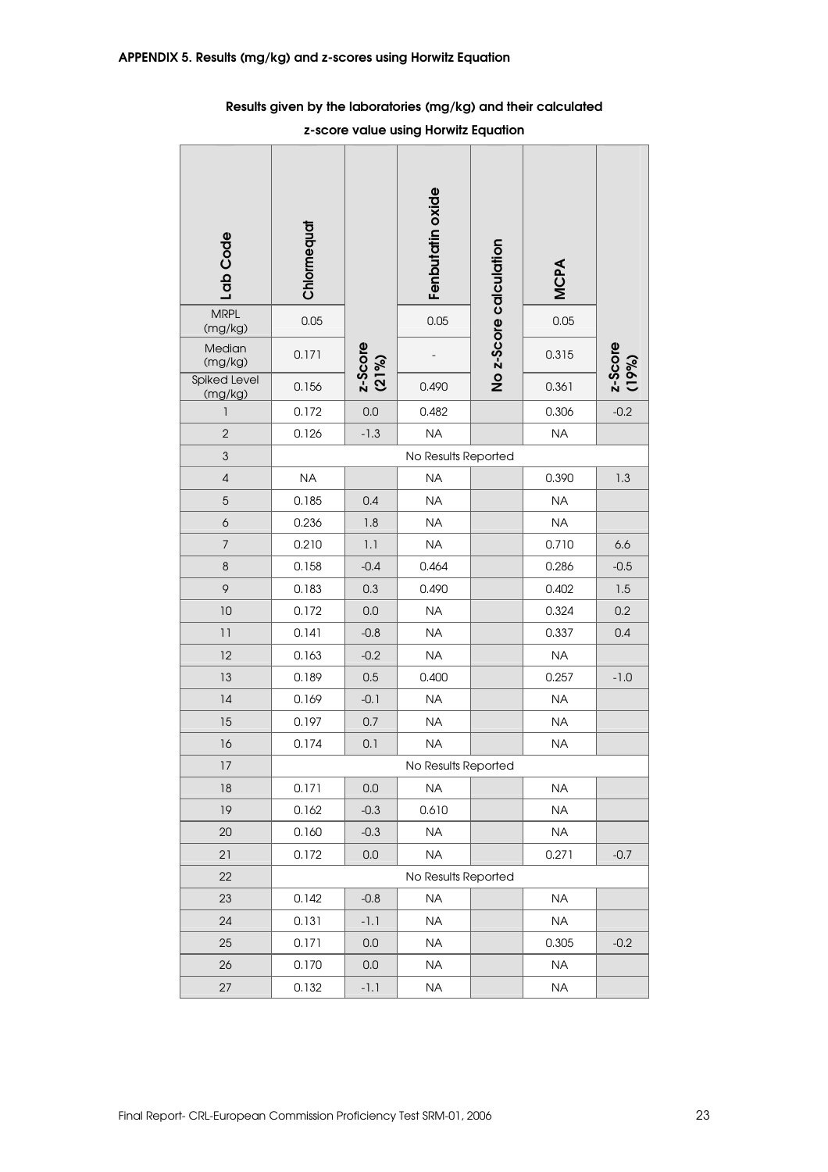| Lab Code                | Chlormequat |                  | Fenbutatin oxide    | No z-Score calculation | MCPA      |                  |
|-------------------------|-------------|------------------|---------------------|------------------------|-----------|------------------|
| <b>MRPL</b><br>(mg/kg)  | 0.05        |                  | 0.05                |                        | 0.05      |                  |
| Median<br>(mg/kg)       | 0.171       | z-Score<br>(21%) |                     |                        | 0.315     | z-Score<br>(19%) |
| Spiked Level<br>(mg/kg) | 0.156       |                  | 0.490               |                        | 0.361     |                  |
| 1                       | 0.172       | 0.0              | 0.482               |                        | 0.306     | $-0.2$           |
| $\overline{2}$          | 0.126       | $-1.3$           | <b>NA</b>           |                        | <b>NA</b> |                  |
| $\mathfrak{S}$          |             |                  | No Results Reported |                        |           |                  |
| $\sqrt{4}$              | <b>NA</b>   |                  | <b>NA</b>           |                        | 0.390     | 1.3              |
| $\sqrt{5}$              | 0.185       | 0.4              | <b>NA</b>           |                        | <b>NA</b> |                  |
| $\boldsymbol{6}$        | 0.236       | 1.8              | <b>NA</b>           |                        | <b>NA</b> |                  |
| $\overline{7}$          | 0.210       | 1.1              | <b>NA</b>           |                        | 0.710     | 6.6              |
| $\,8\,$                 | 0.158       | $-0.4$           | 0.464               |                        | 0.286     | $-0.5$           |
| 9                       | 0.183       | 0.3              | 0.490               |                        | 0.402     | 1.5              |
| 10                      | 0.172       | 0.0              | <b>NA</b>           |                        | 0.324     | 0.2              |
| 11                      | 0.141       | $-0.8$           | <b>NA</b>           |                        | 0.337     | 0.4              |
| 12                      | 0.163       | $-0.2$           | <b>NA</b>           |                        | <b>NA</b> |                  |
| 13                      | 0.189       | 0.5              | 0.400               |                        | 0.257     | $-1.0$           |
| 14                      | 0.169       | $-0.1$           | <b>NA</b>           |                        | <b>NA</b> |                  |
| 15                      | 0.197       | 0.7              | <b>NA</b>           |                        | <b>NA</b> |                  |
| 16                      | 0.174       | 0.1              | <b>NA</b>           |                        | <b>NA</b> |                  |
| 17                      |             |                  | No Results Reported |                        |           |                  |
| 18                      | 0.171       | 0.0              | <b>NA</b>           |                        | <b>NA</b> |                  |
| 19                      | 0.162       | $-0.3$           | 0.610               |                        | <b>NA</b> |                  |
| 20                      | 0.160       | $-0.3$           | $\sf NA$            |                        | <b>NA</b> |                  |
| 21                      | 0.172       | 0.0              | <b>NA</b>           |                        | 0.271     | $-0.7$           |
| 22                      |             |                  | No Results Reported |                        |           |                  |
| 23                      | 0.142       | $-0.8$           | <b>NA</b>           |                        | <b>NA</b> |                  |
| 24                      | 0.131       | $-1.1$           | <b>NA</b>           |                        | <b>NA</b> |                  |
| 25                      | 0.171       | 0.0              | <b>NA</b>           |                        | 0.305     | $-0.2$           |
| 26                      | 0.170       | 0.0              | <b>NA</b>           |                        | <b>NA</b> |                  |
| $27\,$                  | 0.132       | $-1.1$           | <b>NA</b>           |                        | <b>NA</b> |                  |

Results given by the laboratories (mg/kg) and their calculated

z-score value using Horwitz Equation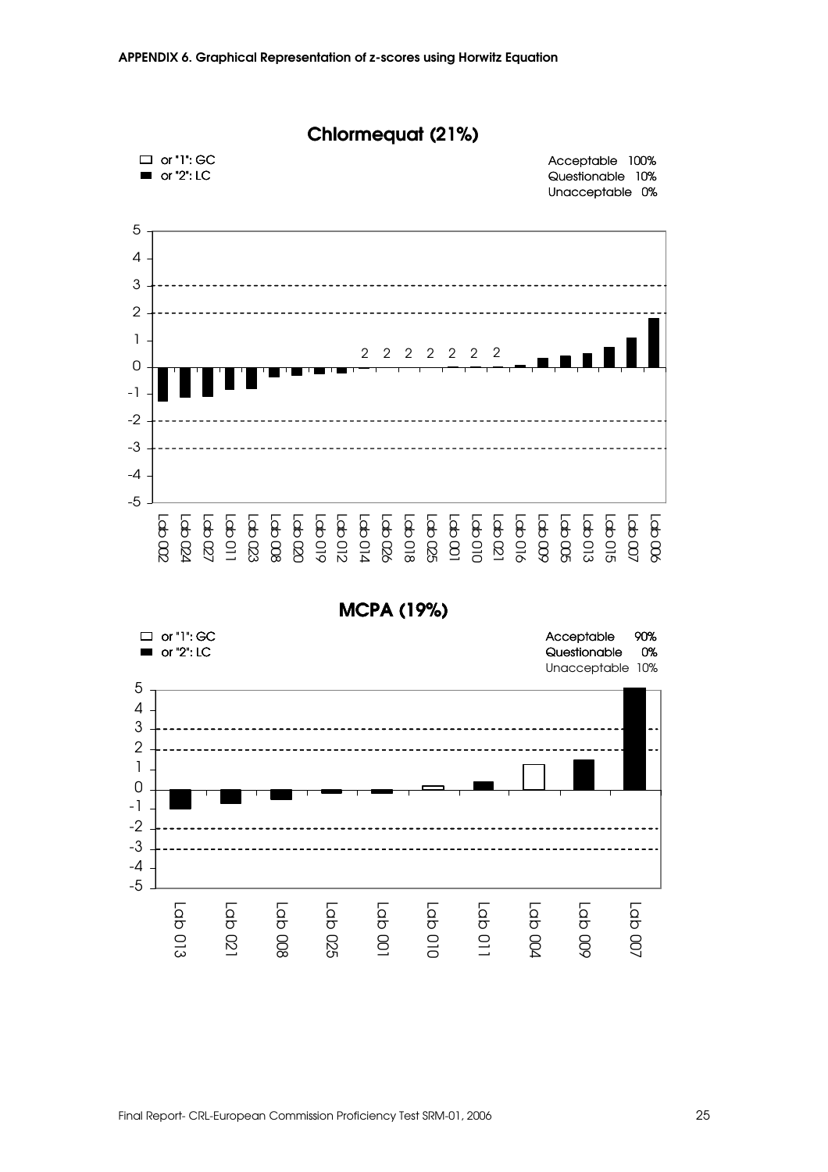



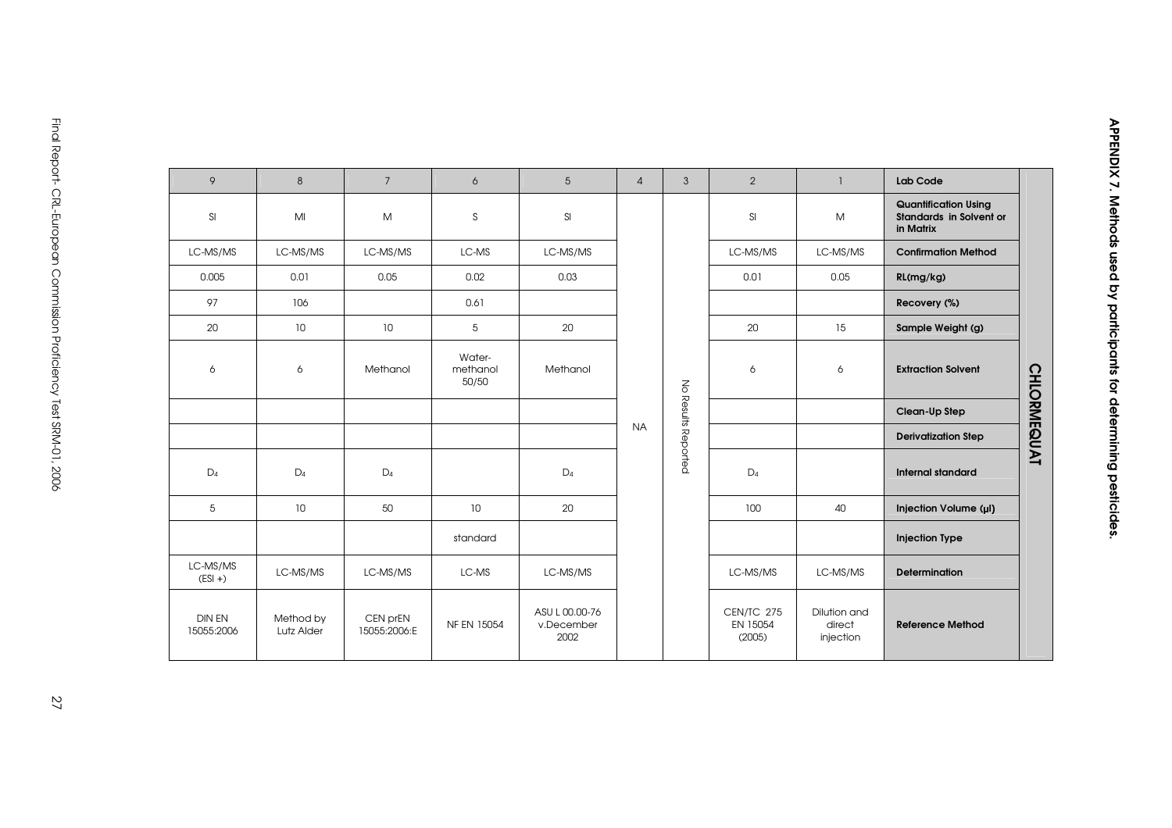| 9                           | 8                       | $7^{\circ}$              | 6                           | $5\phantom{.0}$                      | $\overline{4}$ | $\mathbf{3}$        | 2                                | ı.                                  | Lab Code                                                                   |                    |
|-----------------------------|-------------------------|--------------------------|-----------------------------|--------------------------------------|----------------|---------------------|----------------------------------|-------------------------------------|----------------------------------------------------------------------------|--------------------|
| SI                          | MI                      | M                        | S                           | SI                                   |                |                     | <b>SI</b>                        | M                                   | <b>Quantification Using</b><br><b>Standards in Solvent or</b><br>in Matrix |                    |
| LC-MS/MS                    | LC-MS/MS                | LC-MS/MS                 | LC-MS                       | LC-MS/MS                             |                |                     | LC-MS/MS                         | LC-MS/MS                            | <b>Confirmation Method</b>                                                 |                    |
| 0.005                       | 0.01                    | 0.05                     | 0.02                        | 0.03                                 |                |                     | 0.01                             | 0.05                                | RL(mg/kg)                                                                  |                    |
| 97                          | 106                     |                          | 0.61                        |                                      |                |                     |                                  |                                     | Recovery (%)                                                               |                    |
| 20                          | 10                      | 10                       | 5                           | 20                                   |                |                     | 20                               | 15                                  | Sample Weight (g)                                                          |                    |
| 6                           | 6                       | Methanol                 | Water-<br>methanol<br>50/50 | Methanol                             |                |                     | 6                                | 6                                   | <b>Extraction Solvent</b>                                                  | <b>CHLORMEQUAT</b> |
|                             |                         |                          |                             |                                      |                |                     |                                  |                                     | Clean-Up Step                                                              |                    |
|                             |                         |                          |                             |                                      | <b>NA</b>      | No Results Reported |                                  |                                     | <b>Derivatization Step</b>                                                 |                    |
| $D_4$                       | $D_4$                   | $D_4$                    |                             | $D_4$                                |                |                     | $D_4$                            |                                     | Internal standard                                                          |                    |
| 5                           | 10                      | 50                       | 10                          | 20                                   |                |                     | 100                              | 40                                  | Injection Volume (µl)                                                      |                    |
|                             |                         |                          | standard                    |                                      |                |                     |                                  |                                     | <b>Injection Type</b>                                                      |                    |
| LC-MS/MS<br>$(ESI + )$      | LC-MS/MS                | LC-MS/MS                 | LC-MS                       | LC-MS/MS                             |                |                     | LC-MS/MS                         | LC-MS/MS                            | <b>Determination</b>                                                       |                    |
| <b>DIN EN</b><br>15055:2006 | Method by<br>Lutz Alder | CEN prEN<br>15055:2006:E | NF EN 15054                 | ASU L 00.00-76<br>v.December<br>2002 |                |                     | CEN/TC 275<br>EN 15054<br>(2005) | Dilution and<br>direct<br>injection | <b>Reference Method</b>                                                    |                    |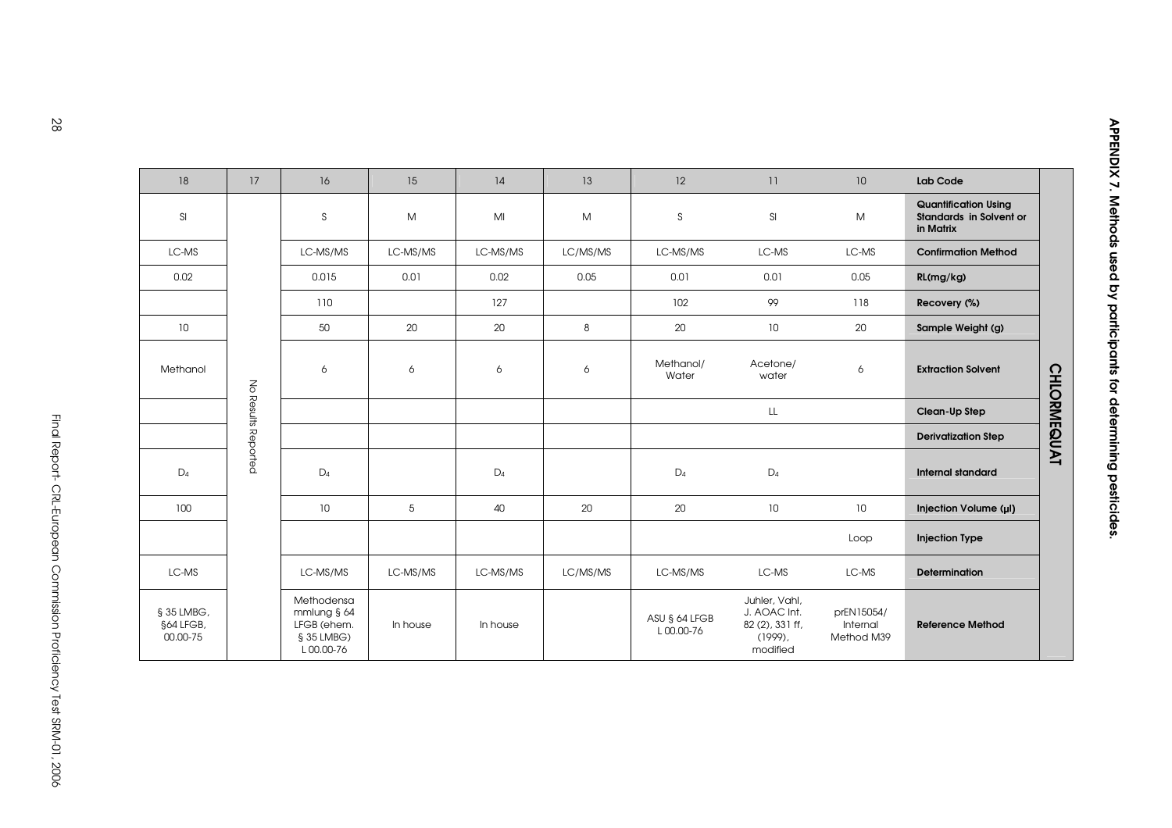| 18                                  | 17                  | 16                                                                  | 15       | 14       | 13       | 12                         | 11                                                                         | 10                                   | Lab Code                                                                   |                    |
|-------------------------------------|---------------------|---------------------------------------------------------------------|----------|----------|----------|----------------------------|----------------------------------------------------------------------------|--------------------------------------|----------------------------------------------------------------------------|--------------------|
| SI                                  |                     | S                                                                   | M        | MI       | M        | S                          | SI                                                                         | M                                    | <b>Quantification Using</b><br><b>Standards in Solvent or</b><br>in Matrix |                    |
| LC-MS                               |                     | LC-MS/MS                                                            | LC-MS/MS | LC-MS/MS | LC/MS/MS | LC-MS/MS                   | LC-MS                                                                      | LC-MS                                | <b>Confirmation Method</b>                                                 |                    |
| 0.02                                |                     | 0.015                                                               | 0.01     | 0.02     | 0.05     | 0.01                       | 0.01                                                                       | 0.05                                 | RL(mg/kg)                                                                  |                    |
|                                     |                     | 110                                                                 |          | 127      |          | 102                        | 99                                                                         | 118                                  | Recovery (%)                                                               |                    |
| 10                                  |                     | 50                                                                  | 20       | 20       | 8        | 20                         | 10                                                                         | 20                                   | Sample Weight (g)                                                          |                    |
| Methanol                            |                     | 6                                                                   | 6        | 6        | 6        | Methanol/<br>Water         | Acetone/<br>water                                                          | 6                                    | <b>Extraction Solvent</b>                                                  | <b>CHLORMEQUAT</b> |
|                                     | No Results Reported |                                                                     |          |          |          |                            | LL.                                                                        |                                      | Clean-Up Step                                                              |                    |
|                                     |                     |                                                                     |          |          |          |                            |                                                                            |                                      | <b>Derivatization Step</b>                                                 |                    |
| $D_4$                               |                     | $D_4$                                                               |          | $D_4$    |          | $D_4$                      | $D_4$                                                                      |                                      | <b>Internal standard</b>                                                   |                    |
| 100                                 |                     | 10                                                                  | 5        | 40       | 20       | 20                         | 10                                                                         | 10 <sup>°</sup>                      | Injection Volume (µI)                                                      |                    |
|                                     |                     |                                                                     |          |          |          |                            |                                                                            | Loop                                 | <b>Injection Type</b>                                                      |                    |
| LC-MS                               |                     | LC-MS/MS                                                            | LC-MS/MS | LC-MS/MS | LC/MS/MS | LC-MS/MS                   | LC-MS                                                                      | LC-MS                                | <b>Determination</b>                                                       |                    |
| § 35 LMBG,<br>§64 LFGB,<br>00.00-75 |                     | Methodensa<br>mmlung § 64<br>LFGB (ehem.<br>§ 35 LMBG)<br>L00.00-76 | In house | In house |          | ASU § 64 LFGB<br>L00.00-76 | Juhler, Vahl,<br>J. AOAC Int.<br>82 (2), 331 ff,<br>$(1999)$ ,<br>modified | prEN15054/<br>Internal<br>Method M39 | <b>Reference Method</b>                                                    |                    |

APPENDIX 7. Methods used by participants for determining pesticides.

APPENDIX 7. Methods used by participants for determining pesticides.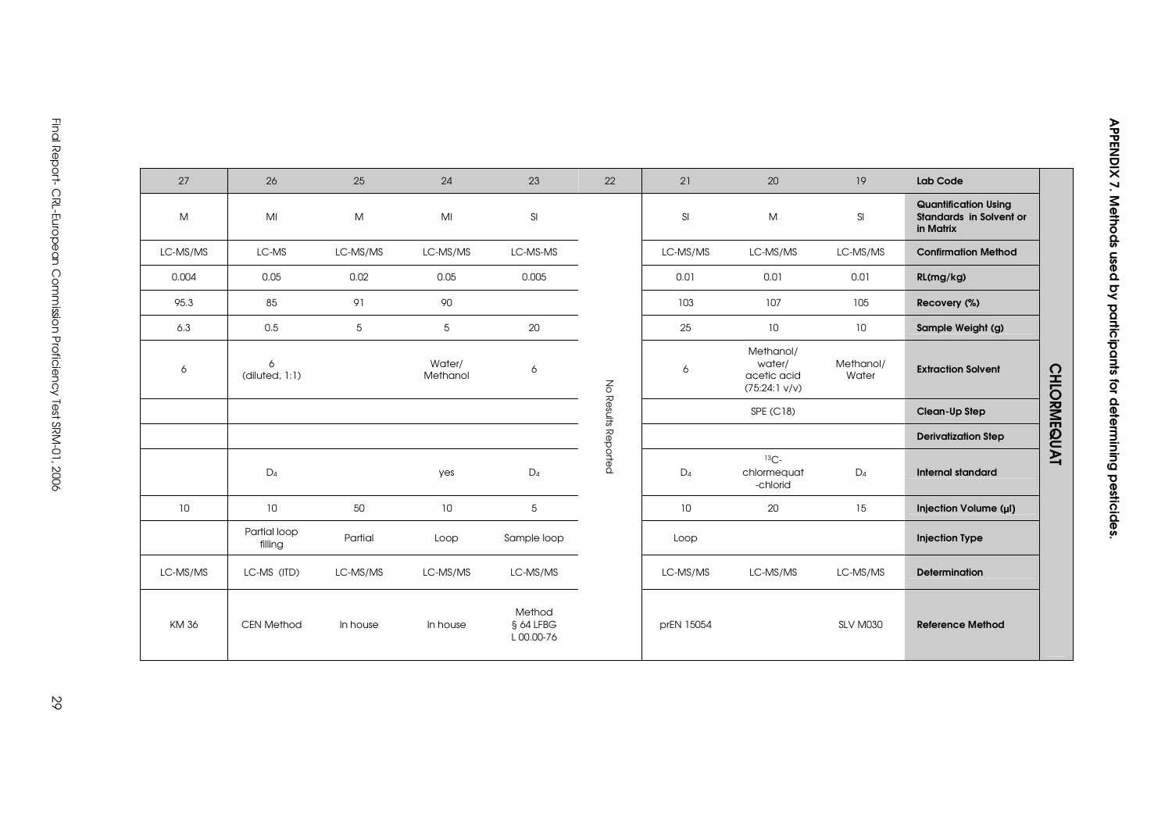| 27          | 26                      | 25              | 24                 | 23                               | 22                  | 21         | 20                                                            | 19                 | Lab Code                                                            |                    |
|-------------|-------------------------|-----------------|--------------------|----------------------------------|---------------------|------------|---------------------------------------------------------------|--------------------|---------------------------------------------------------------------|--------------------|
| M           | MI                      | M               | MI                 | SI                               |                     | SI         | M                                                             | SI                 | <b>Quantification Using</b><br>Standards in Solvent or<br>in Matrix |                    |
| LC-MS/MS    | LC-MS                   | LC-MS/MS        | LC-MS/MS           | LC-MS-MS                         |                     | LC-MS/MS   | LC-MS/MS                                                      | LC-MS/MS           | <b>Confirmation Method</b>                                          |                    |
| 0.004       | 0.05                    | 0.02            | 0.05               | 0.005                            |                     | 0.01       | 0.01                                                          | 0.01               | RL(mg/kg)                                                           |                    |
| 95.3        | 85                      | 91              | 90                 |                                  |                     | 103        | 107                                                           | 105                | Recovery (%)                                                        |                    |
| 6.3         | 0.5                     | $5\overline{)}$ | 5                  | 20                               |                     | 25         | 10                                                            | 10                 | Sample Weight (g)                                                   |                    |
| 6           | 6<br>(diluted, 1:1)     |                 | Water/<br>Methanol | 6                                |                     | 6          | Methanol/<br>water/<br>acetic acid<br>$(75:24:1 \text{ V/V})$ | Methanol/<br>Water | <b>Extraction Solvent</b>                                           | <b>CHLORMEQUAT</b> |
|             |                         |                 |                    |                                  |                     |            | SPE (C18)                                                     |                    | Clean-Up Step                                                       |                    |
|             |                         |                 |                    |                                  |                     |            |                                                               |                    | <b>Derivatization Step</b>                                          |                    |
|             | $D_4$                   |                 | yes                | $D_4$                            | No Results Reported | $D_4$      | ${}^{13}C-$<br>chlormequat<br>-chlorid                        | $D_4$              | <b>Internal standard</b>                                            |                    |
| 10          | 10                      | 50              | 10                 | 5                                |                     | 10         | 20                                                            | 15                 | Injection Volume (µl)                                               |                    |
|             | Partial loop<br>filling | Partial         | Loop               | Sample loop                      |                     | Loop       |                                                               |                    | <b>Injection Type</b>                                               |                    |
| LC-MS/MS    | LC-MS (ITD)             | LC-MS/MS        | LC-MS/MS           | LC-MS/MS                         |                     | LC-MS/MS   | LC-MS/MS                                                      | LC-MS/MS           | <b>Determination</b>                                                |                    |
| <b>KM36</b> | <b>CEN Method</b>       | In house        | In house           | Method<br>§ 64 LFBG<br>L00.00-76 |                     | prEN 15054 |                                                               | SLV M030           | <b>Reference Method</b>                                             |                    |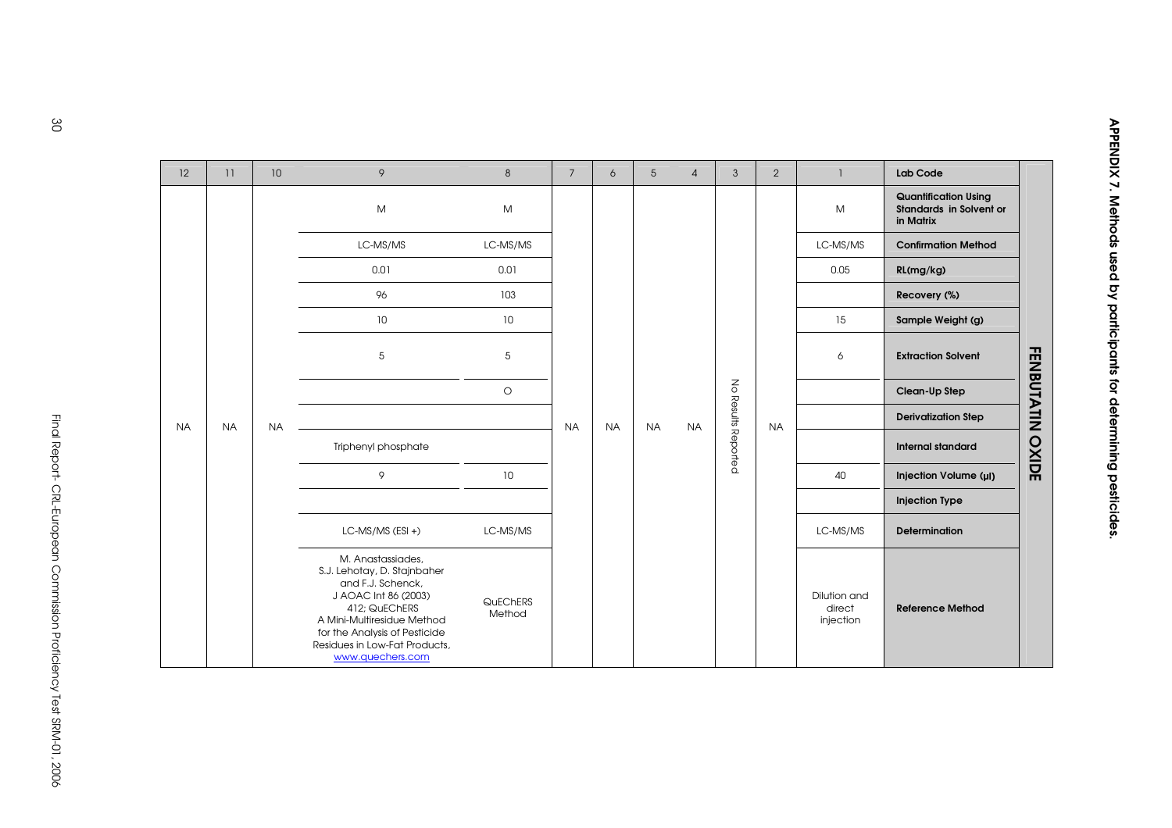| 12        | 11        | 10 <sup>°</sup> | 9                                                                                                                                                                                                                                  | 8                  | 7         | 6         | 5         | $\overline{4}$ | 3                   | 2         | -1                                  | Lab Code                                                            |                         |
|-----------|-----------|-----------------|------------------------------------------------------------------------------------------------------------------------------------------------------------------------------------------------------------------------------------|--------------------|-----------|-----------|-----------|----------------|---------------------|-----------|-------------------------------------|---------------------------------------------------------------------|-------------------------|
|           |           |                 | M                                                                                                                                                                                                                                  | M                  |           |           |           |                |                     |           | M                                   | <b>Quantification Using</b><br>Standards in Solvent or<br>in Matrix |                         |
|           |           |                 | LC-MS/MS                                                                                                                                                                                                                           | LC-MS/MS           |           |           |           |                |                     |           | LC-MS/MS                            | <b>Confirmation Method</b>                                          |                         |
|           |           |                 | 0.01                                                                                                                                                                                                                               | 0.01               |           |           |           |                |                     |           | 0.05                                | RL(mg/kg)                                                           |                         |
|           | <b>NA</b> |                 | 96                                                                                                                                                                                                                                 | 103                |           |           |           |                |                     |           |                                     | Recovery (%)                                                        |                         |
|           |           |                 | 10                                                                                                                                                                                                                                 | 10<br>5            |           |           |           |                |                     | 15        | Sample Weight (g)                   |                                                                     |                         |
|           |           |                 | 5                                                                                                                                                                                                                                  |                    |           |           |           |                |                     |           | 6                                   | <b>Extraction Solvent</b>                                           |                         |
|           |           | <b>NA</b>       |                                                                                                                                                                                                                                    | $\circ$            |           |           |           |                |                     |           |                                     | Clean-Up Step                                                       |                         |
| <b>NA</b> |           |                 |                                                                                                                                                                                                                                    |                    | <b>NA</b> | <b>NA</b> | <b>NA</b> | <b>NA</b>      |                     | <b>NA</b> |                                     | <b>Derivatization Step</b>                                          |                         |
|           |           |                 | Triphenyl phosphate                                                                                                                                                                                                                |                    |           |           |           |                | No Results Reported |           |                                     | <b>Internal standard</b>                                            | <b>FENBUTATIN OXIDE</b> |
|           |           |                 | 9                                                                                                                                                                                                                                  | 10                 |           |           |           |                |                     |           | 40                                  | Injection Volume (µI)                                               |                         |
|           |           |                 |                                                                                                                                                                                                                                    |                    |           |           |           |                |                     |           |                                     | <b>Injection Type</b>                                               |                         |
|           |           |                 | $LC$ -MS/MS (ESI +)                                                                                                                                                                                                                | LC-MS/MS           |           |           |           |                |                     |           | LC-MS/MS                            | <b>Determination</b>                                                |                         |
|           |           |                 | M. Anastassiades,<br>S.J. Lehotay, D. Stajnbaher<br>and F.J. Schenck,<br>J AOAC Int 86 (2003)<br>412; QuEChERS<br>A Mini-Multiresidue Method<br>for the Analysis of Pesticide<br>Residues in Low-Fat Products,<br>www.quechers.com | QuEChERS<br>Method |           |           |           |                |                     |           | Dilution and<br>direct<br>injection | <b>Reference Method</b>                                             |                         |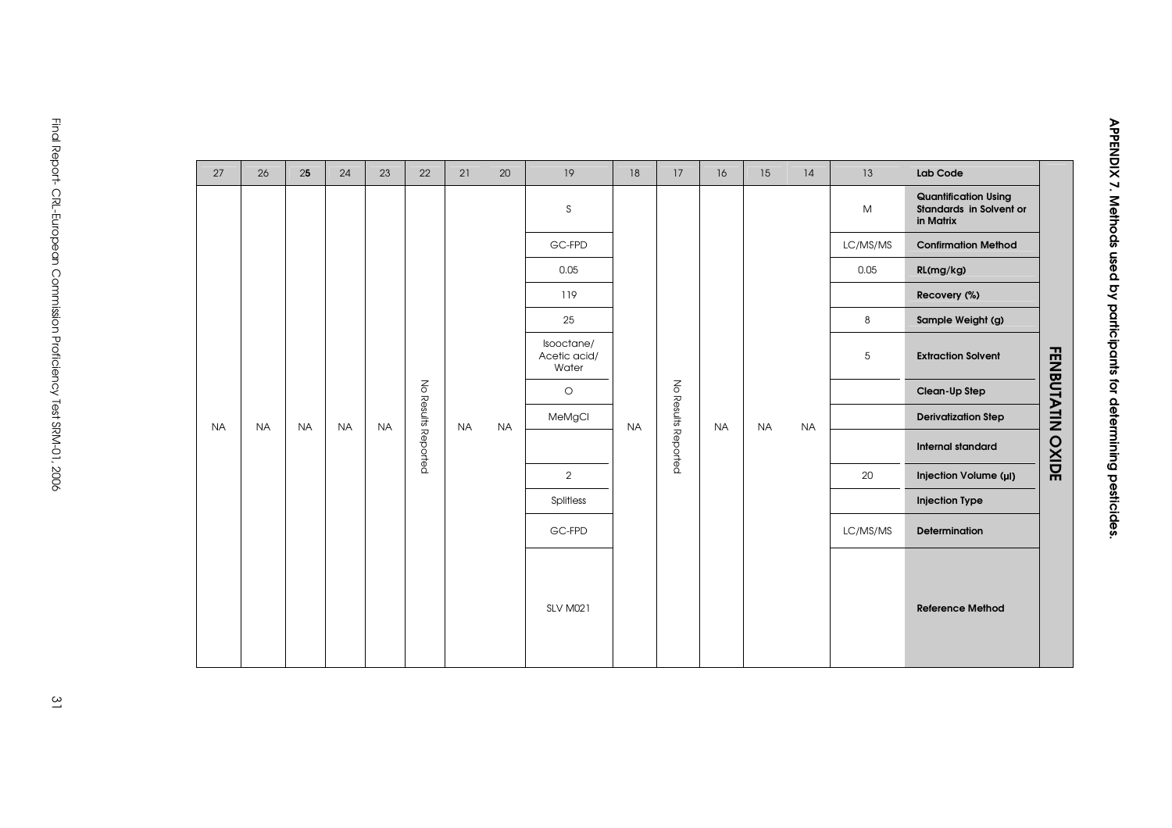| 27        | 26        | 25        | 24        | 23        | 22                  | 21        | 20        | 19                                  | 18        | 17 | 16                  | 15        | 14        | 13       | Lab Code                                                            |                   |     |
|-----------|-----------|-----------|-----------|-----------|---------------------|-----------|-----------|-------------------------------------|-----------|----|---------------------|-----------|-----------|----------|---------------------------------------------------------------------|-------------------|-----|
|           |           |           |           |           |                     |           |           | S                                   |           |    |                     |           |           | M        | <b>Quantification Using</b><br>Standards in Solvent or<br>in Matrix |                   |     |
|           |           |           |           |           |                     |           |           | GC-FPD                              |           |    |                     |           |           | LC/MS/MS | <b>Confirmation Method</b>                                          |                   |     |
|           |           |           |           |           |                     |           |           |                                     | 0.05      |    |                     |           |           |          | 0.05                                                                | RL(mg/kg)         |     |
|           |           |           |           |           |                     |           |           | 119                                 |           |    |                     |           |           |          | Recovery (%)                                                        |                   |     |
|           |           |           |           |           |                     |           |           | 25                                  |           |    |                     |           |           | 8        | Sample Weight (g)                                                   |                   |     |
|           |           |           |           |           |                     |           |           | Isooctane/<br>Acetic acid/<br>Water |           |    |                     |           |           | 5        | <b>Extraction Solvent</b>                                           | <b>FENBUTATIN</b> |     |
|           | <b>NA</b> |           |           |           | No Results Reported |           |           | $\circlearrowright$                 |           |    |                     |           |           |          | Clean-Up Step                                                       |                   |     |
| <b>NA</b> |           | <b>NA</b> | <b>NA</b> | <b>NA</b> |                     | <b>NA</b> | <b>NA</b> | MeMgCl                              | <b>NA</b> |    | <b>NA</b>           | <b>NA</b> | <b>NA</b> |          | <b>Derivatization Step</b>                                          |                   |     |
|           |           |           |           |           |                     |           |           |                                     |           |    | No Results Reported |           |           |          |                                                                     | Internal standard | axo |
|           |           |           |           |           |                     |           |           | $\overline{2}$                      |           |    |                     |           |           | 20       | Injection Volume (µI)                                               | m                 |     |
|           |           |           |           |           |                     |           |           | Splitless                           |           |    |                     |           |           |          | <b>Injection Type</b>                                               |                   |     |
|           |           |           |           |           |                     |           |           | GC-FPD                              |           |    |                     |           |           | LC/MS/MS | <b>Determination</b>                                                |                   |     |
|           |           |           |           |           |                     |           |           | <b>SLV M021</b>                     |           |    |                     |           |           |          | <b>Reference Method</b>                                             |                   |     |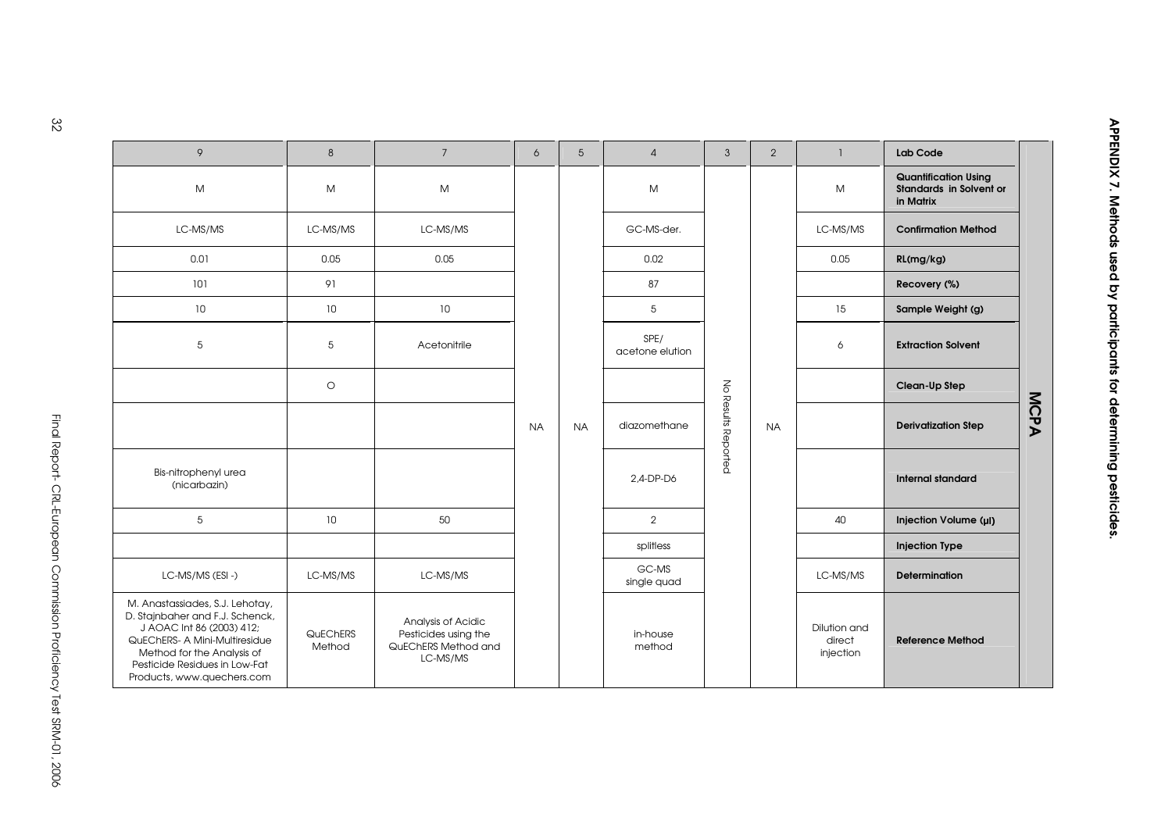| 9                                                                                                                                                                                                                             | 8                  | $7\overline{ }$                                                               | 6         | 5         | $\overline{4}$          | $\mathbf{3}$        | 2         | $\mathbf{1}$                        | Lab Code                                                            |      |
|-------------------------------------------------------------------------------------------------------------------------------------------------------------------------------------------------------------------------------|--------------------|-------------------------------------------------------------------------------|-----------|-----------|-------------------------|---------------------|-----------|-------------------------------------|---------------------------------------------------------------------|------|
| M                                                                                                                                                                                                                             | M                  | M                                                                             |           |           | M                       |                     |           | M                                   | <b>Quantification Using</b><br>Standards in Solvent or<br>in Matrix |      |
| LC-MS/MS                                                                                                                                                                                                                      | LC-MS/MS           | LC-MS/MS                                                                      |           |           | GC-MS-der.              |                     |           | LC-MS/MS                            | <b>Confirmation Method</b>                                          |      |
| 0.01                                                                                                                                                                                                                          | 0.05               | 0.05                                                                          |           |           | 0.02                    |                     |           | 0.05                                | RL(mg/kg)                                                           |      |
| 101                                                                                                                                                                                                                           | 91                 |                                                                               |           |           | 87                      |                     |           |                                     | Recovery (%)                                                        |      |
| 10                                                                                                                                                                                                                            | 10                 | 10                                                                            |           |           | 5                       |                     |           | 15                                  | Sample Weight (g)                                                   |      |
| 5                                                                                                                                                                                                                             | 5                  | Acetonitrile                                                                  |           |           | SPE/<br>acetone elution |                     |           | 6                                   | <b>Extraction Solvent</b>                                           |      |
|                                                                                                                                                                                                                               | $\circ$            |                                                                               |           |           |                         |                     |           |                                     | Clean-Up Step                                                       |      |
|                                                                                                                                                                                                                               |                    |                                                                               | <b>NA</b> | <b>NA</b> | diazomethane            | No Results Reported | <b>NA</b> |                                     | <b>Derivatization Step</b>                                          | MCPA |
| Bis-nitrophenyl urea<br>(nicarbazin)                                                                                                                                                                                          |                    |                                                                               |           |           | 2.4-DP-D6               |                     |           |                                     | <b>Internal standard</b>                                            |      |
| 5                                                                                                                                                                                                                             | 10 <sup>°</sup>    | 50                                                                            |           |           | $\overline{2}$          |                     |           | 40                                  | Injection Volume (µI)                                               |      |
|                                                                                                                                                                                                                               |                    |                                                                               |           |           | splitless               |                     |           |                                     | <b>Injection Type</b>                                               |      |
| LC-MS/MS (ESI-)                                                                                                                                                                                                               | LC-MS/MS           | LC-MS/MS                                                                      |           |           | GC-MS<br>single quad    |                     |           | LC-MS/MS                            | <b>Determination</b>                                                |      |
| M. Anastassiades, S.J. Lehotay,<br>D. Stajnbaher and F.J. Schenck,<br>J AOAC Int 86 (2003) 412;<br>QuEChERS- A Mini-Multiresidue<br>Method for the Analysis of<br>Pesticide Residues in Low-Fat<br>Products, www.quechers.com | QuEChERS<br>Method | Analysis of Acidic<br>Pesticides using the<br>QuEChERS Method and<br>LC-MS/MS |           |           | in-house<br>method      |                     |           | Dilution and<br>direct<br>injection | <b>Reference Method</b>                                             |      |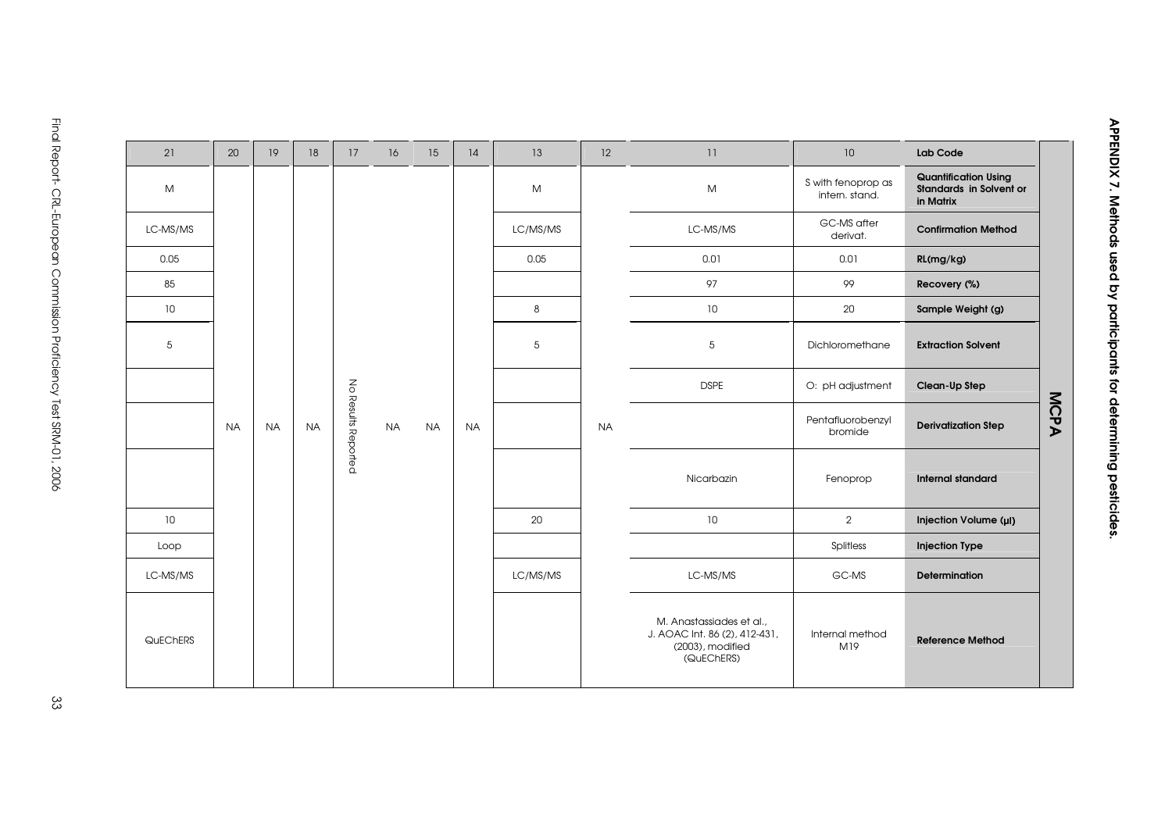| 21       | 20        | 19        | 18        | 17                  | 16        | 15        | 14        | 13       | 12        | 11                                                                                          | 10                                   | Lab Code                                                            |      |
|----------|-----------|-----------|-----------|---------------------|-----------|-----------|-----------|----------|-----------|---------------------------------------------------------------------------------------------|--------------------------------------|---------------------------------------------------------------------|------|
| M        |           |           |           |                     |           |           |           | M        |           | M                                                                                           | S with fenoprop as<br>intern. stand. | <b>Quantification Using</b><br>Standards in Solvent or<br>in Matrix |      |
| LC-MS/MS |           |           |           |                     |           |           |           | LC/MS/MS |           | LC-MS/MS                                                                                    | GC-MS after<br>derivat.              | <b>Confirmation Method</b>                                          |      |
| 0.05     |           |           |           |                     |           |           |           | 0.05     |           | 0.01                                                                                        | 0.01                                 | RL(mg/kg)                                                           |      |
| 85       |           |           |           |                     |           |           |           |          |           | 97                                                                                          | 99                                   | Recovery (%)                                                        |      |
| 10       |           |           |           |                     |           |           |           | 8        |           | 10 <sup>°</sup>                                                                             | 20                                   | Sample Weight (g)                                                   |      |
| 5        |           |           |           |                     |           |           |           | 5        |           | 5                                                                                           | Dichloromethane                      | <b>Extraction Solvent</b>                                           |      |
|          |           |           |           |                     |           |           |           |          |           | <b>DSPE</b>                                                                                 | O: pH adjustment                     | Clean-Up Step                                                       |      |
|          | <b>NA</b> | <b>NA</b> | <b>NA</b> | No Results Reported | <b>NA</b> | <b>NA</b> | <b>NA</b> |          | <b>NA</b> |                                                                                             | Pentafluorobenzyl<br>bromide         | <b>Derivatization Step</b>                                          | MCPA |
|          |           |           |           |                     |           |           |           |          |           | Nicarbazin                                                                                  | Fenoprop                             | <b>Internal standard</b>                                            |      |
| 10       |           |           |           |                     |           |           |           | 20       |           | 10                                                                                          | $\overline{2}$                       | Injection Volume (µI)                                               |      |
| Loop     |           |           |           |                     |           |           |           |          |           |                                                                                             | Splitless                            | <b>Injection Type</b>                                               |      |
| LC-MS/MS |           |           |           |                     |           |           |           | LC/MS/MS |           | LC-MS/MS                                                                                    | GC-MS                                | <b>Determination</b>                                                |      |
| QuEChERS |           |           |           |                     |           |           |           |          |           | M. Anastassiades et al.,<br>J. AOAC Int. 86 (2), 412-431,<br>(2003), modified<br>(QuEChERS) | Internal method<br>M19               | <b>Reference Method</b>                                             |      |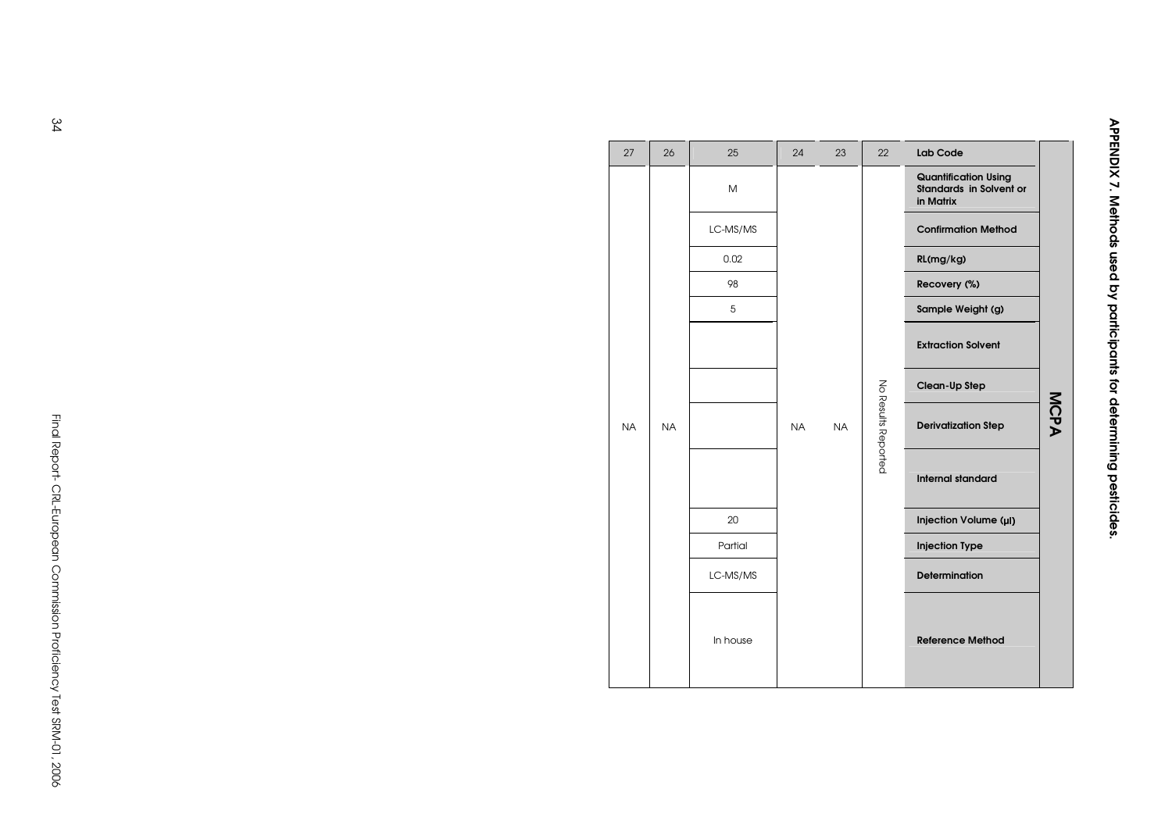| 27        | 26        | 25       | 24        | 23        | 22                  | Lab Code                                                                   |      |
|-----------|-----------|----------|-----------|-----------|---------------------|----------------------------------------------------------------------------|------|
|           |           | M        |           |           |                     | <b>Quantification Using</b><br><b>Standards in Solvent or</b><br>in Matrix |      |
|           |           | LC-MS/MS |           |           |                     | <b>Confirmation Method</b>                                                 |      |
|           |           | 0.02     |           |           |                     | RL(mg/kg)                                                                  |      |
|           |           | 98       |           |           |                     | Recovery (%)                                                               |      |
|           |           | 5        |           |           |                     | Sample Weight (g)                                                          |      |
|           |           |          |           |           |                     | <b>Extraction Solvent</b>                                                  |      |
|           |           |          |           |           |                     | Clean-Up Step                                                              |      |
| <b>NA</b> | <b>NA</b> |          | <b>NA</b> | <b>NA</b> | No Results Reported | <b>Derivatization Step</b>                                                 | MCPA |
|           |           |          |           |           |                     | <b>Internal standard</b>                                                   |      |
|           |           | 20       |           |           |                     | Injection Volume (µI)                                                      |      |
|           |           | Partial  |           |           |                     | <b>Injection Type</b>                                                      |      |
|           |           | LC-MS/MS |           |           |                     | <b>Determination</b>                                                       |      |
|           |           | In house |           |           |                     | <b>Reference Method</b>                                                    |      |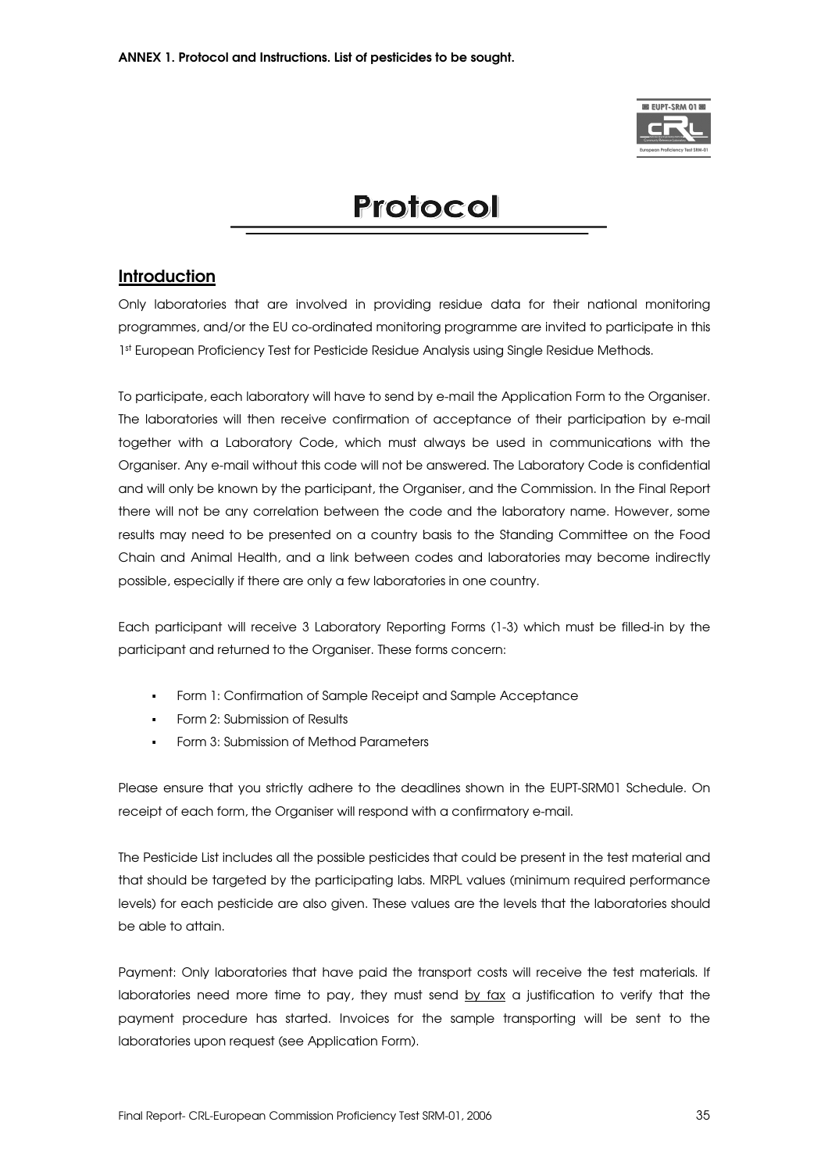

# Protocol

## **Introduction**

Only laboratories that are involved in providing residue data for their national monitoring programmes, and/or the EU co-ordinated monitoring programme are invited to participate in this 1<sup>st</sup> European Proficiency Test for Pesticide Residue Analysis using Single Residue Methods.

To participate, each laboratory will have to send by e-mail the Application Form to the Organiser. The laboratories will then receive confirmation of acceptance of their participation by e-mail together with a Laboratory Code, which must always be used in communications with the Organiser. Any e-mail without this code will not be answered. The Laboratory Code is confidential and will only be known by the participant, the Organiser, and the Commission. In the Final Report there will not be any correlation between the code and the laboratory name. However, some results may need to be presented on a country basis to the Standing Committee on the Food Chain and Animal Health, and a link between codes and laboratories may become indirectly possible, especially if there are only a few laboratories in one country.

Each participant will receive 3 Laboratory Reporting Forms (1-3) which must be filled-in by the participant and returned to the Organiser. These forms concern:

- -Form 1: Confirmation of Sample Receipt and Sample Acceptance
- -Form 2: Submission of Results
- -Form 3: Submission of Method Parameters

Please ensure that you strictly adhere to the deadlines shown in the EUPT-SRM01 Schedule. On receipt of each form, the Organiser will respond with a confirmatory e-mail.

The Pesticide List includes all the possible pesticides that could be present in the test material and that should be targeted by the participating labs. MRPL values (minimum required performance levels) for each pesticide are also given. These values are the levels that the laboratories should be able to attain.

Payment: Only laboratories that have paid the transport costs will receive the test materials. If laboratories need more time to pay, they must send by  $fax$  a justification to verify that the payment procedure has started. Invoices for the sample transporting will be sent to the laboratories upon request (see Application Form).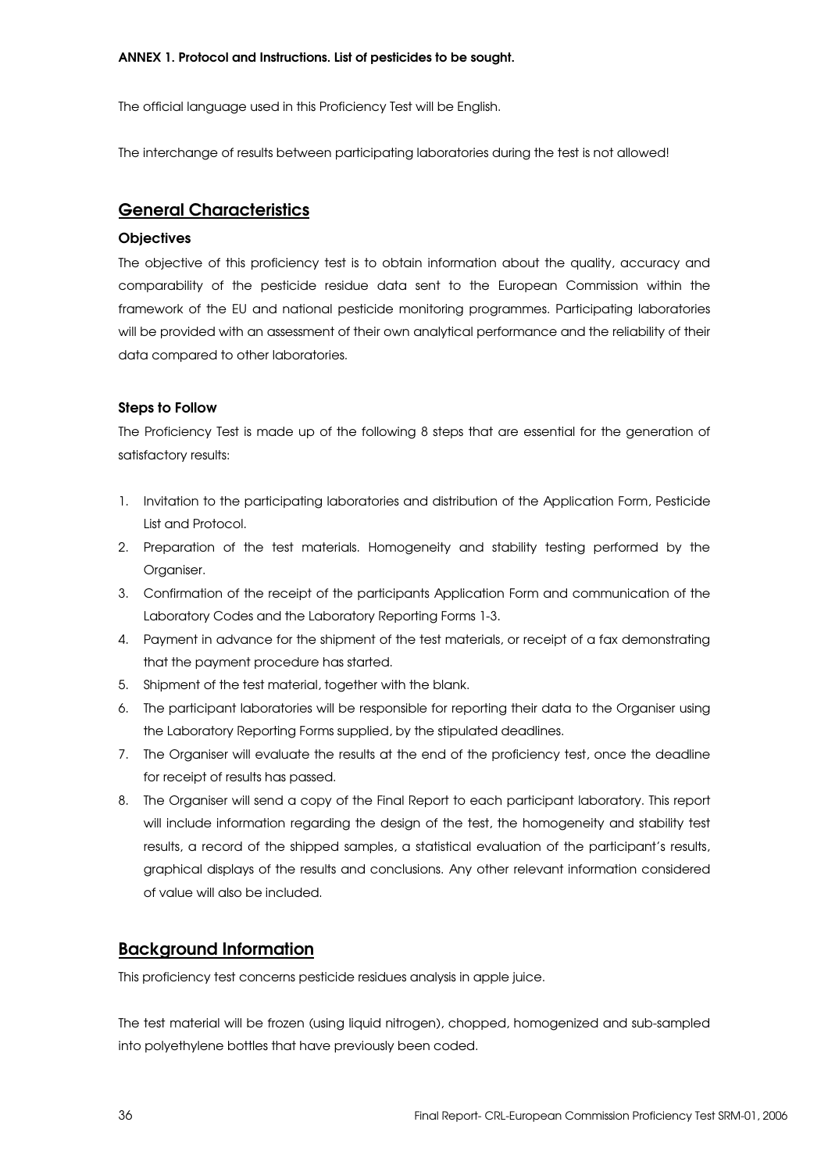#### ANNEX 1. Protocol and Instructions. List of pesticides to be sought.

The official language used in this Proficiency Test will be English.

The interchange of results between participating laboratories during the test is not allowed!

## General Characteristics

#### **Objectives**

The objective of this proficiency test is to obtain information about the quality, accuracy and comparability of the pesticide residue data sent to the European Commission within the framework of the EU and national pesticide monitoring programmes. Participating laboratories will be provided with an assessment of their own analytical performance and the reliability of their data compared to other laboratories.

#### Steps to Follow

The Proficiency Test is made up of the following 8 steps that are essential for the generation of satisfactory results:

- 1. Invitation to the participating laboratories and distribution of the Application Form, Pesticide List and Protocol.
- 2. Preparation of the test materials. Homogeneity and stability testing performed by the Organiser.
- 3. Confirmation of the receipt of the participants Application Form and communication of the Laboratory Codes and the Laboratory Reporting Forms 1-3.
- 4. Payment in advance for the shipment of the test materials, or receipt of a fax demonstrating that the payment procedure has started.
- 5. Shipment of the test material, together with the blank.
- 6. The participant laboratories will be responsible for reporting their data to the Organiser using the Laboratory Reporting Forms supplied, by the stipulated deadlines.
- 7. The Organiser will evaluate the results at the end of the proficiency test, once the deadline for receipt of results has passed.
- 8. The Organiser will send a copy of the Final Report to each participant laboratory. This report will include information regarding the design of the test, the homogeneity and stability test results, a record of the shipped samples, a statistical evaluation of the participant's results, graphical displays of the results and conclusions. Any other relevant information considered of value will also be included.

## Background Information

This proficiency test concerns pesticide residues analysis in apple juice.

The test material will be frozen (using liquid nitrogen), chopped, homogenized and sub-sampled into polyethylene bottles that have previously been coded.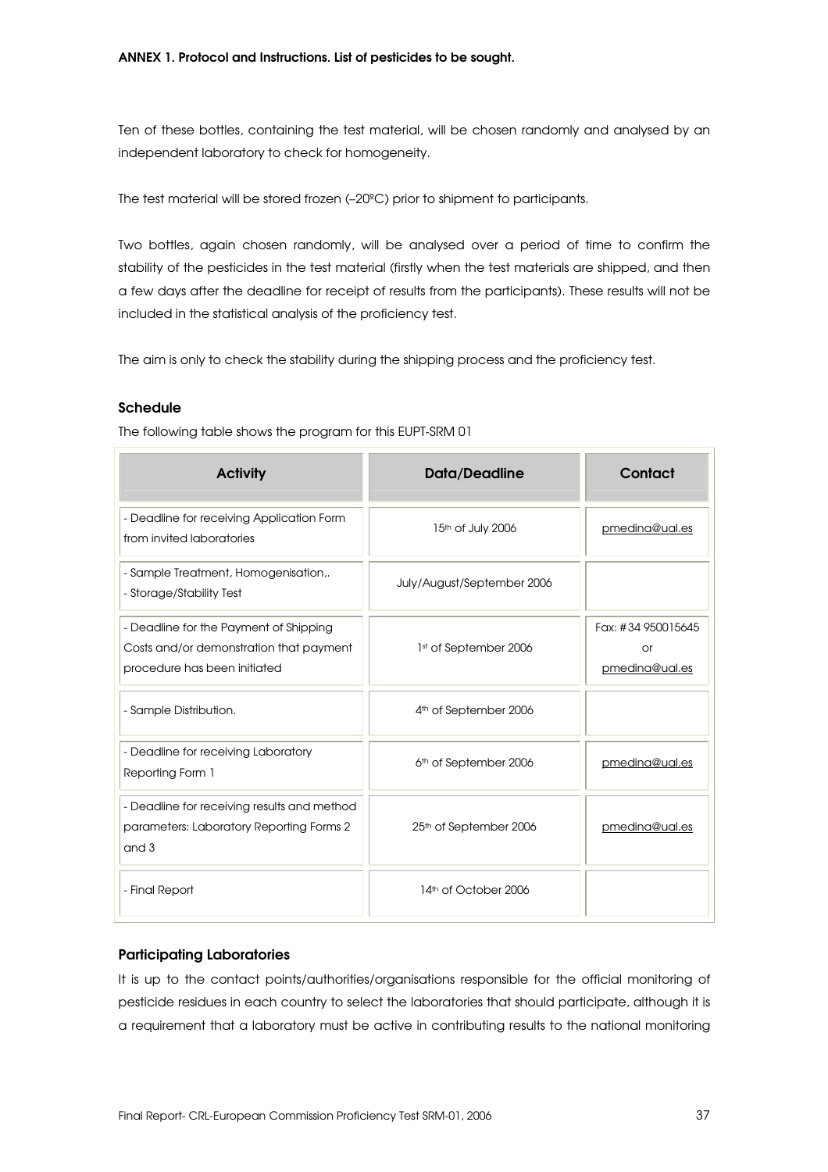Ten of these bottles, containing the test material, will be chosen randomly and analysed by an independent laboratory to check for homogeneity.

The test material will be stored frozen (–20ºC) prior to shipment to participants.

Two bottles, again chosen randomly, will be analysed over a period of time to confirm the stability of the pesticides in the test material (firstly when the test materials are shipped, and then a few days after the deadline for receipt of results from the participants). These results will not be included in the statistical analysis of the proficiency test.

The aim is only to check the stability during the shipping process and the proficiency test.

#### Schedule

The following table shows the program for this EUPT-SRM 01

| <b>Activity</b>                                                                                                   | Data/Deadline                      | Contact                                    |
|-------------------------------------------------------------------------------------------------------------------|------------------------------------|--------------------------------------------|
| - Deadline for receiving Application Form<br>from invited laboratories                                            | 15th of July 2006                  | pmedina@ual.es                             |
| - Sample Treatment, Homogenisation,.<br>- Storage/Stability Test                                                  | July/August/September 2006         |                                            |
| - Deadline for the Payment of Shipping<br>Costs and/or demonstration that payment<br>procedure has been initiated | 1st of September 2006              | Fax: #34 950015645<br>or<br>pmedina@ual.es |
| - Sample Distribution.                                                                                            | 4 <sup>th</sup> of September 2006  |                                            |
| - Deadline for receiving Laboratory<br>Reporting Form 1                                                           | 6 <sup>th</sup> of September 2006  | pmedina@ual.es                             |
| - Deadline for receiving results and method<br>parameters: Laboratory Reporting Forms 2<br>and 3                  | 25 <sup>th</sup> of September 2006 | pmedina@ual.es                             |
| - Final Report                                                                                                    | 14th of October 2006               |                                            |

#### Participating Laboratories

It is up to the contact points/authorities/organisations responsible for the official monitoring of pesticide residues in each country to select the laboratories that should participate, although it is a requirement that a laboratory must be active in contributing results to the national monitoring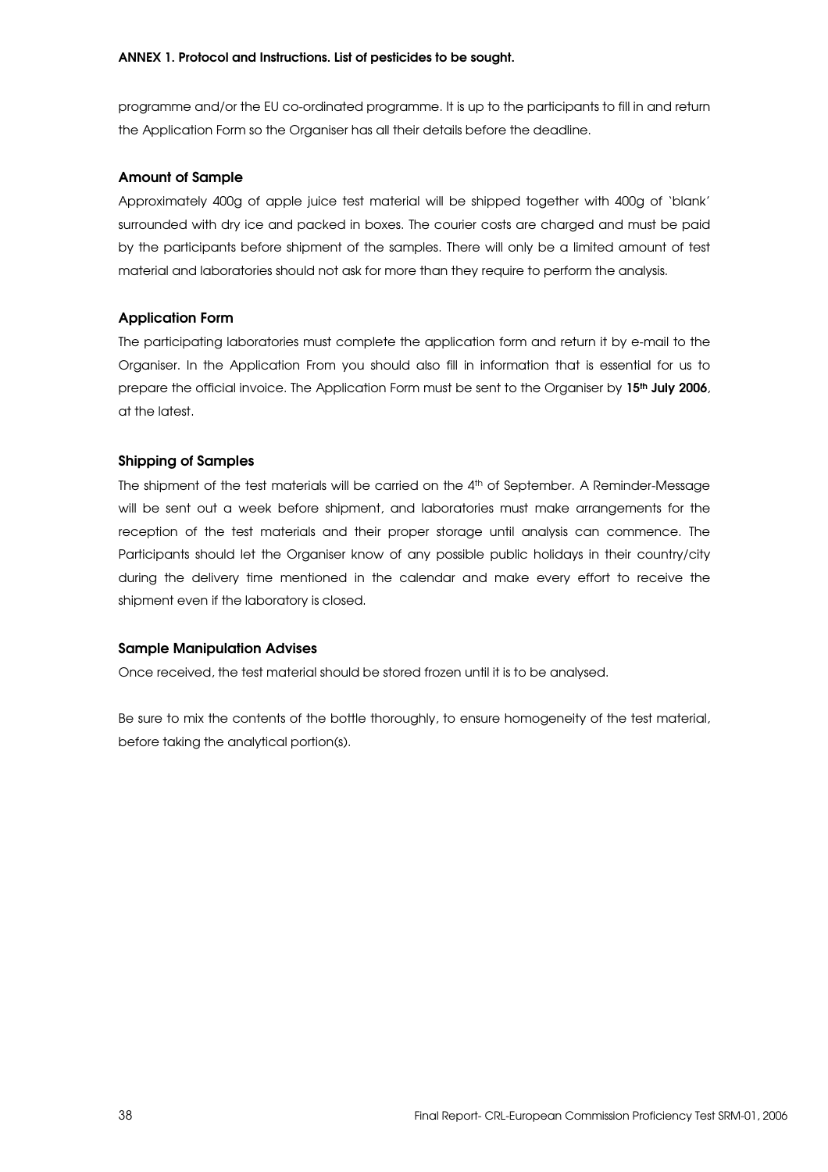programme and/or the EU co-ordinated programme. It is up to the participants to fill in and return the Application Form so the Organiser has all their details before the deadline.

### Amount of Sample

Approximately 400g of apple juice test material will be shipped together with 400g of 'blank' surrounded with dry ice and packed in boxes. The courier costs are charged and must be paid by the participants before shipment of the samples. There will only be a limited amount of test material and laboratories should not ask for more than they require to perform the analysis.

### Application Form

The participating laboratories must complete the application form and return it by e-mail to the Organiser. In the Application From you should also fill in information that is essential for us to prepare the official invoice. The Application Form must be sent to the Organiser by 15<sup>th</sup> July 2006, at the latest.

#### Shipping of Samples

The shipment of the test materials will be carried on the 4<sup>th</sup> of September. A Reminder-Message will be sent out a week before shipment, and laboratories must make arrangements for the reception of the test materials and their proper storage until analysis can commence. The Participants should let the Organiser know of any possible public holidays in their country/city during the delivery time mentioned in the calendar and make every effort to receive the shipment even if the laboratory is closed.

### Sample Manipulation Advises

Once received, the test material should be stored frozen until it is to be analysed.

Be sure to mix the contents of the bottle thoroughly, to ensure homogeneity of the test material, before taking the analytical portion(s).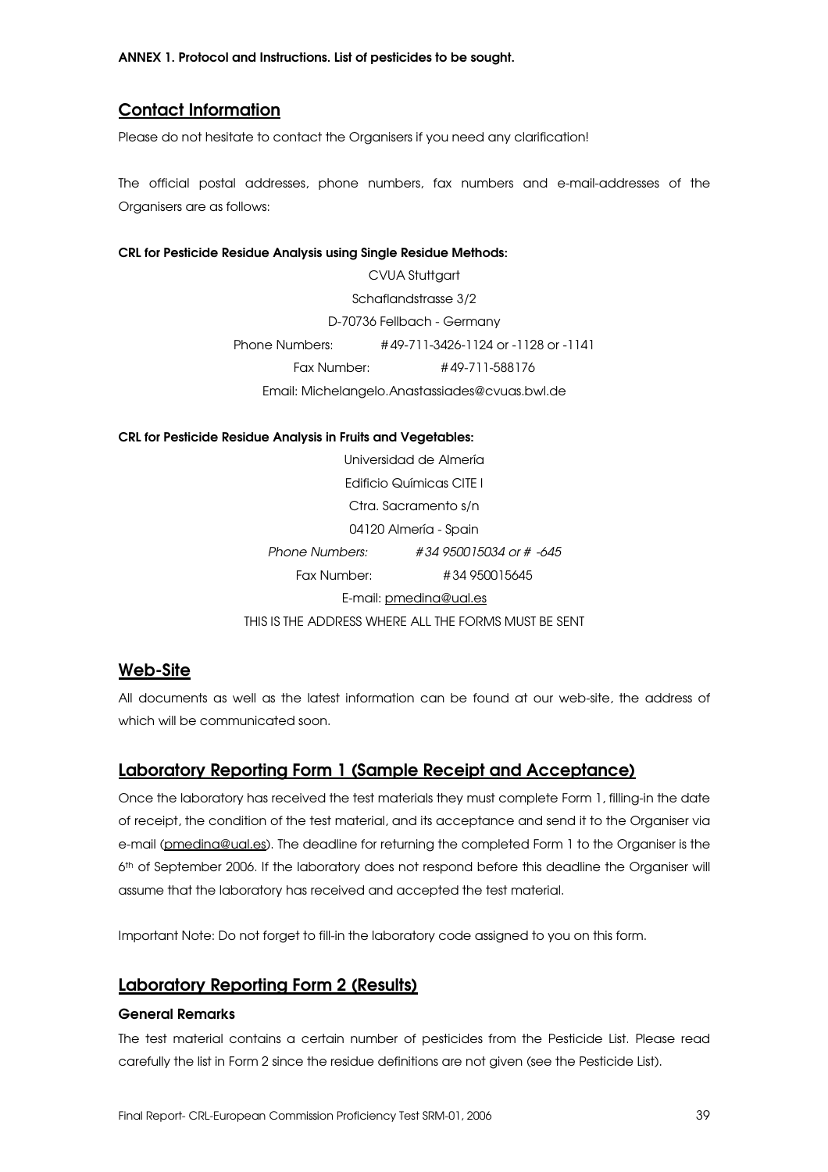ANNEX 1. Protocol and Instructions. List of pesticides to be sought.

## Contact Information

Please do not hesitate to contact the Organisers if you need any clarification!

The official postal addresses, phone numbers, fax numbers and e-mail-addresses of the Organisers are as follows:

#### CRL for Pesticide Residue Analysis using Single Residue Methods:

CVUA Stuttgart Schaflandstrasse 3/2 D-70736 Fellbach - Germany Phone Numbers: # 49-711-3426-1124 or -1128 or -1141 Fax Number: # 49-711-588176 Email: Michelangelo.Anastassiades@cvuas.bwl.de

CRL for Pesticide Residue Analysis in Fruits and Vegetables:

Universidad de Almería Edificio Químicas CITE I Ctra. Sacramento s/n 04120 Almería - Spain Phone Numbers: # 34 950015034 or # -645 Fax Number: # 34 950015645 E-mail: pmedina@ual.es THIS IS THE ADDRESS WHERE ALL THE FORMS MUST BE SENT

## Web-Site

All documents as well as the latest information can be found at our web-site, the address of which will be communicated soon.

## Laboratory Reporting Form 1 (Sample Receipt and Acceptance)

Once the laboratory has received the test materials they must complete Form 1, filling-in the date of receipt, the condition of the test material, and its acceptance and send it to the Organiser via e-mail (pmedina@ual.es). The deadline for returning the completed Form 1 to the Organiser is the 6 th of September 2006. If the laboratory does not respond before this deadline the Organiser will assume that the laboratory has received and accepted the test material.

Important Note: Do not forget to fill-in the laboratory code assigned to you on this form.

## Laboratory Reporting Form 2 (Results)

#### General Remarks

The test material contains a certain number of pesticides from the Pesticide List. Please read carefully the list in Form 2 since the residue definitions are not given (see the Pesticide List).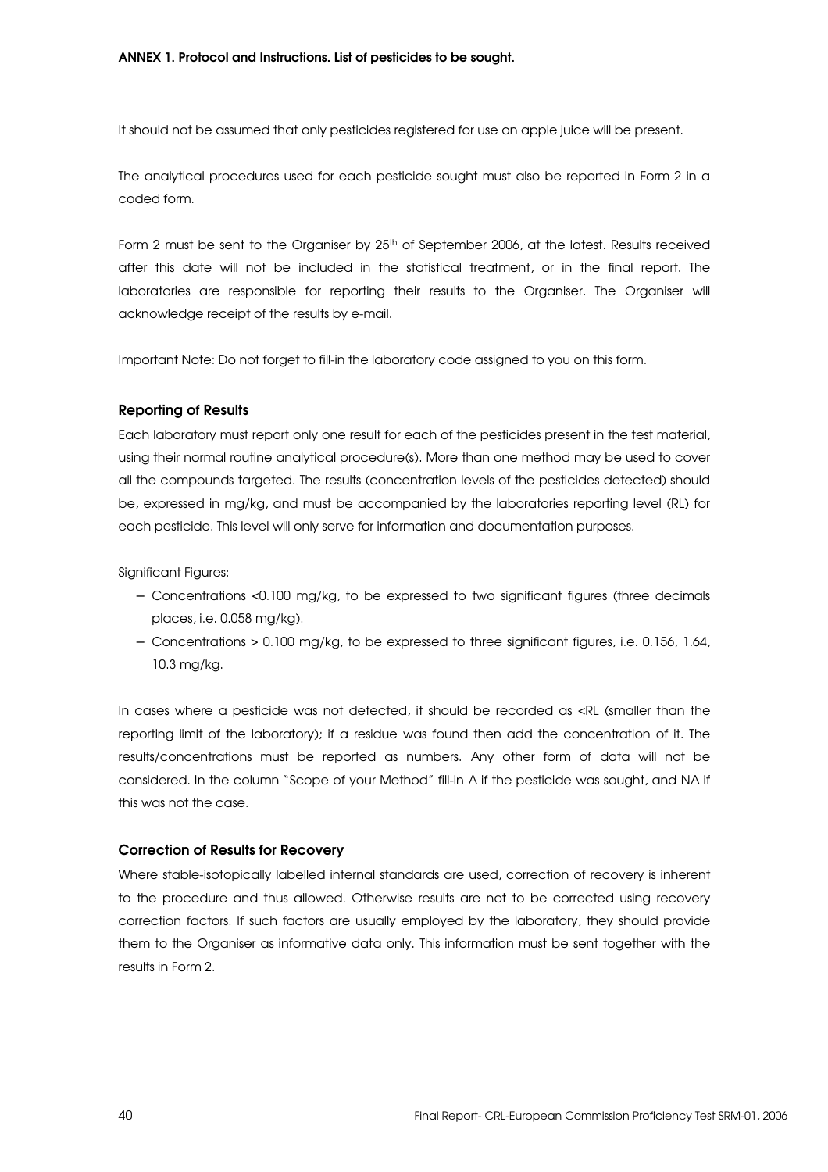It should not be assumed that only pesticides registered for use on apple juice will be present.

The analytical procedures used for each pesticide sought must also be reported in Form 2 in a coded form.

Form 2 must be sent to the Organiser by 25<sup>th</sup> of September 2006, at the latest. Results received after this date will not be included in the statistical treatment, or in the final report. The laboratories are responsible for reporting their results to the Organiser. The Organiser will acknowledge receipt of the results by e-mail.

Important Note: Do not forget to fill-in the laboratory code assigned to you on this form.

#### Reporting of Results

Each laboratory must report only one result for each of the pesticides present in the test material, using their normal routine analytical procedure(s). More than one method may be used to cover all the compounds targeted. The results (concentration levels of the pesticides detected) should be, expressed in mg/kg, and must be accompanied by the laboratories reporting level (RL) for each pesticide. This level will only serve for information and documentation purposes.

Significant Figures:

- − Concentrations <0.100 mg/kg, to be expressed to two significant figures (three decimals places, i.e. 0.058 mg/kg).
- − Concentrations > 0.100 mg/kg, to be expressed to three significant figures, i.e. 0.156, 1.64, 10.3 mg/kg.

In cases where a pesticide was not detected, it should be recorded as <RL (smaller than the reporting limit of the laboratory); if a residue was found then add the concentration of it. The results/concentrations must be reported as numbers. Any other form of data will not be considered. In the column "Scope of your Method" fill-in A if the pesticide was sought, and NA if this was not the case.

#### Correction of Results for Recovery

Where stable-isotopically labelled internal standards are used, correction of recovery is inherent to the procedure and thus allowed. Otherwise results are not to be corrected using recovery correction factors. If such factors are usually employed by the laboratory, they should provide them to the Organiser as informative data only. This information must be sent together with the results in Form 2.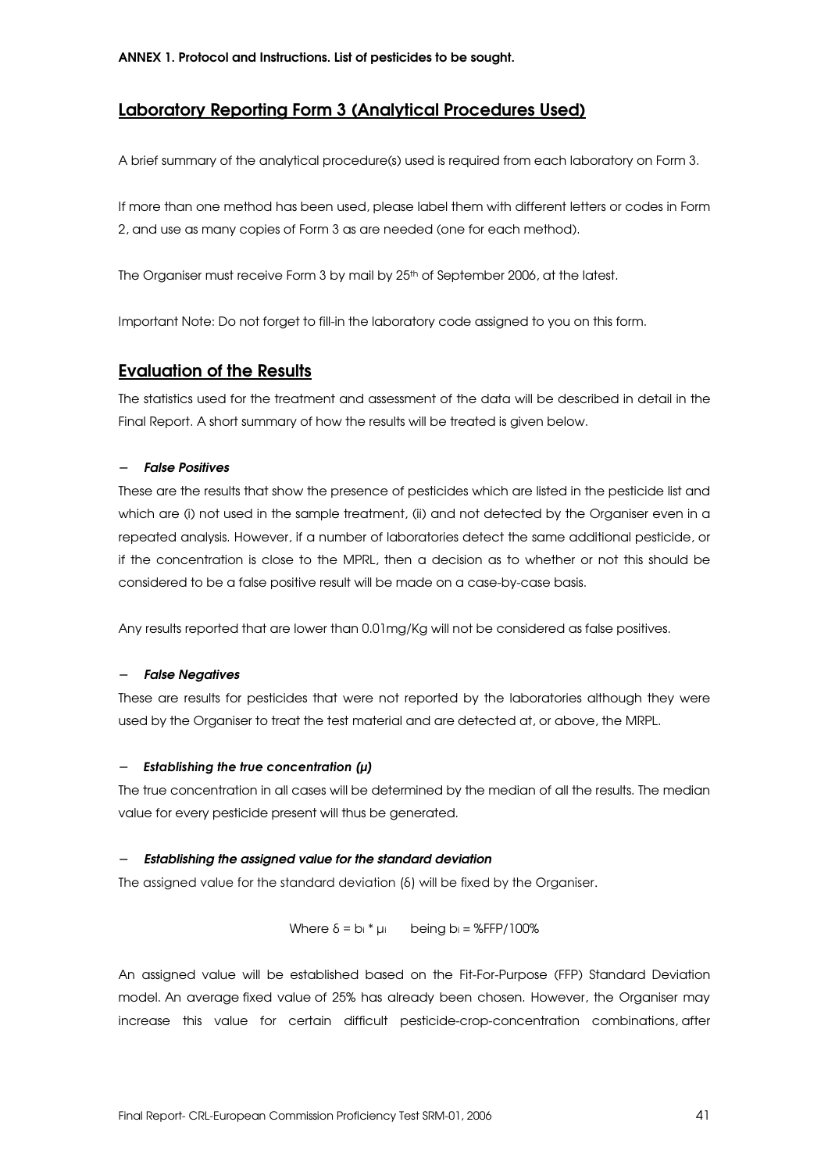## Laboratory Reporting Form 3 (Analytical Procedures Used)

A brief summary of the analytical procedure(s) used is required from each laboratory on Form 3.

If more than one method has been used, please label them with different letters or codes in Form 2, and use as many copies of Form 3 as are needed (one for each method).

The Organiser must receive Form 3 by mail by 25<sup>th</sup> of September 2006, at the latest.

Important Note: Do not forget to fill-in the laboratory code assigned to you on this form.

## Evaluation of the Results

The statistics used for the treatment and assessment of the data will be described in detail in the Final Report. A short summary of how the results will be treated is given below.

#### − False Positives

These are the results that show the presence of pesticides which are listed in the pesticide list and which are (i) not used in the sample treatment, (ii) and not detected by the Organiser even in a repeated analysis. However, if a number of laboratories detect the same additional pesticide, or if the concentration is close to the MPRL, then a decision as to whether or not this should be considered to be a false positive result will be made on a case-by-case basis.

Any results reported that are lower than 0.01mg/Kg will not be considered as false positives.

#### − False Negatives

These are results for pesticides that were not reported by the laboratories although they were used by the Organiser to treat the test material and are detected at, or above, the MRPL.

#### — Establishing the true concentration (μ)

The true concentration in all cases will be determined by the median of all the results. The median value for every pesticide present will thus be generated.

#### Establishing the assigned value for the standard deviation

The assigned value for the standard deviation ( $\delta$ ) will be fixed by the Organiser.

Where  $\delta = b_i * \mu_i$  being  $b_i = %$ FFP/100%

An assigned value will be established based on the Fit-For-Purpose (FFP) Standard Deviation model. An average fixed value of 25% has already been chosen. However, the Organiser may increase this value for certain difficult pesticide-crop-concentration combinations, after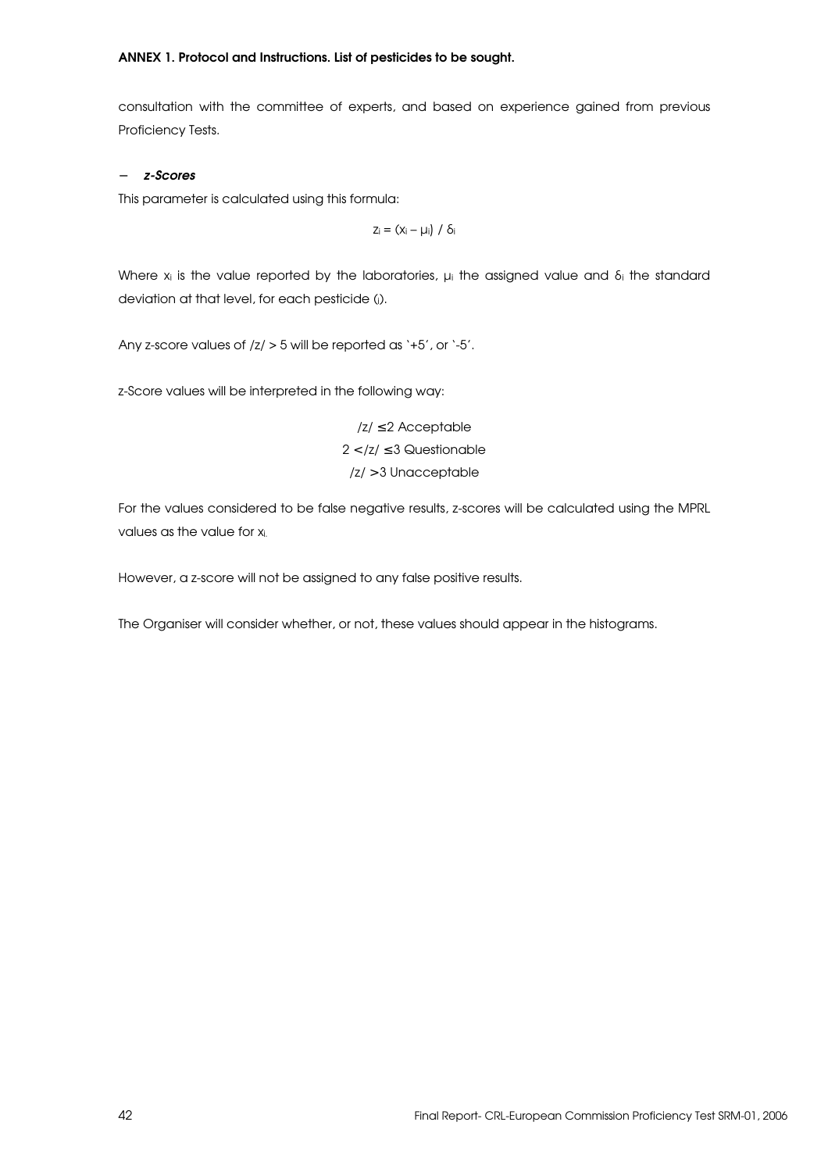#### ANNEX 1. Protocol and Instructions. List of pesticides to be sought.

consultation with the committee of experts, and based on experience gained from previous Proficiency Tests.

#### − z-Scores

This parameter is calculated using this formula:

$$
z_i = (x_i - \mu_i) / \delta_i
$$

Where  $x_i$  is the value reported by the laboratories,  $\mu_i$  the assigned value and  $\delta_i$  the standard deviation at that level, for each pesticide (i).

Any z-score values of /z/ > 5 will be reported as '+5', or '-5'.

z-Score values will be interpreted in the following way:

/z/ ≤ 2 Acceptable  $2 <$  /z/  $\leq$  3 Questionable /z/ > 3 Unacceptable

For the values considered to be false negative results, z-scores will be calculated using the MPRL values as the value for xi.

However, a z-score will not be assigned to any false positive results.

The Organiser will consider whether, or not, these values should appear in the histograms.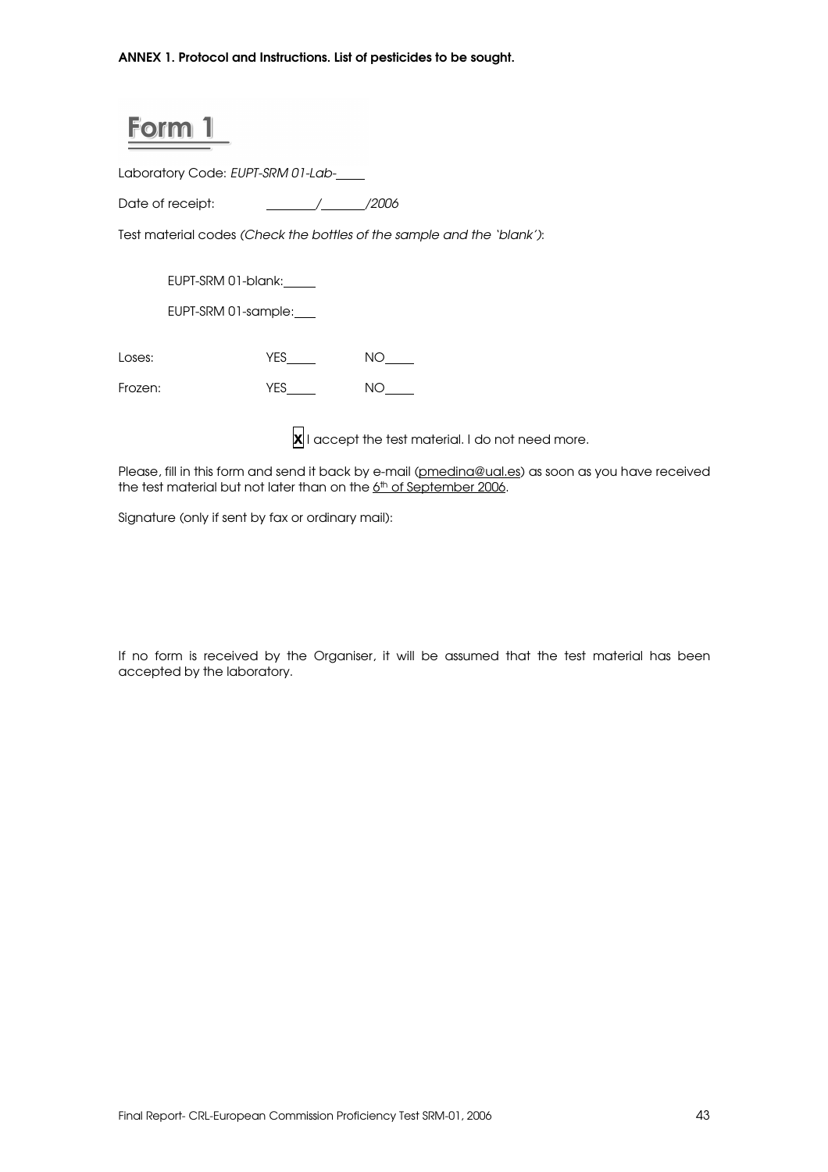ANNEX 1. Protocol and Instructions. List of pesticides to be sought.

## Form

Laboratory Code: EUPT-SRM 01-Lab-

Date of receipt:  $\frac{1}{2006}$ 

Test material codes (Check the bottles of the sample and the 'blank'):

EUPT-SRM 01-blank:

EUPT-SRM 01-sample:

Loses:  $YES$  NO\_\_\_\_\_

Frozen: YES\_\_\_\_\_ NO\_\_\_\_

 $\overline{\mathsf{x}}$  I accept the test material. I do not need more.

Please, fill in this form and send it back by e-mail (pmedina@ual.es) as soon as you have received the test material but not later than on the 6<sup>th</sup> of September 2006.

Signature (only if sent by fax or ordinary mail):

If no form is received by the Organiser, it will be assumed that the test material has been accepted by the laboratory.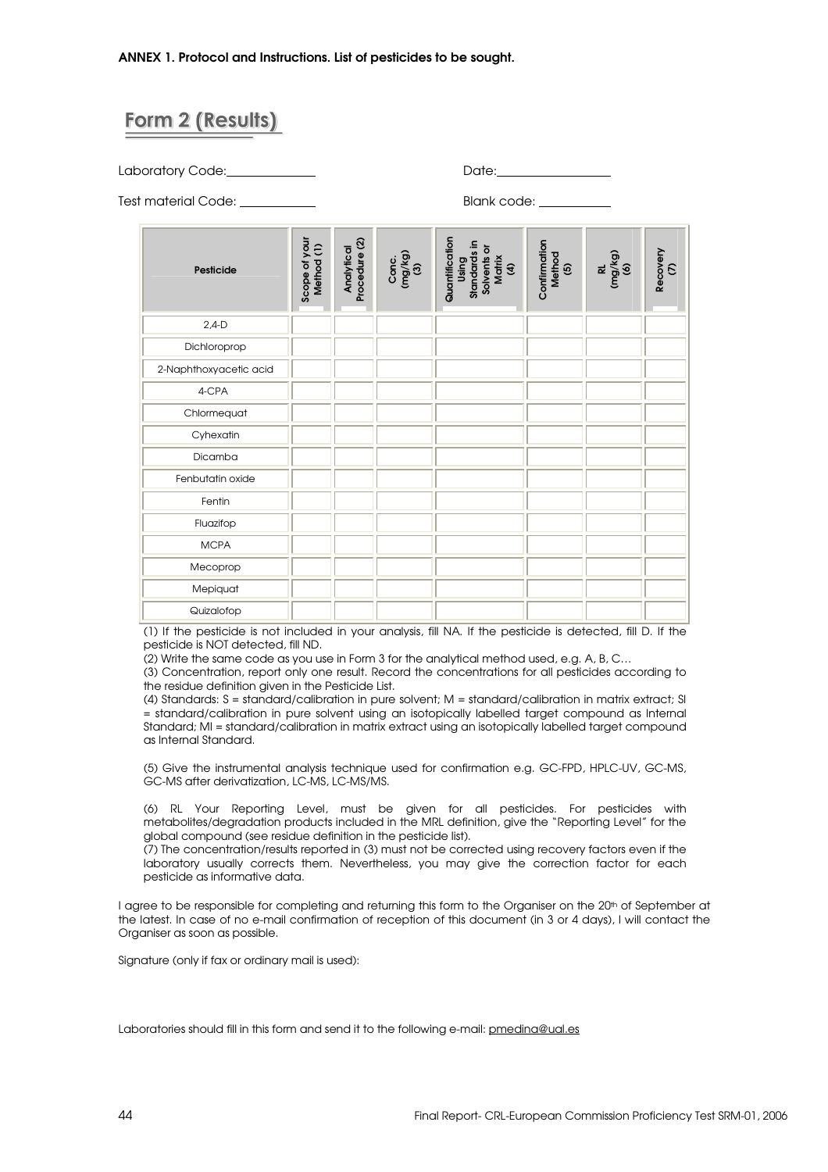## Form 2 (Results)

Laboratory Code: Date:

Test material Code: Blank code:

| Pesticide              | Scope of your<br>Method (1) | Procedure (2)<br>Analytical | Conc.<br>(mg/kg)<br>(3) | Quantification<br>Standards in<br>Solvents or<br>Matrix<br>Using<br>$\mathfrak{E}% _{A}^{\ast}(\mathfrak{H}_{A})$ | Confirmation<br>Method<br>ම | RL<br>(mg/kg)<br>(6) | Recovery<br>$\mathcal{E}$ |
|------------------------|-----------------------------|-----------------------------|-------------------------|-------------------------------------------------------------------------------------------------------------------|-----------------------------|----------------------|---------------------------|
| $2,4-D$                |                             |                             |                         |                                                                                                                   |                             |                      |                           |
| Dichloroprop           |                             |                             |                         |                                                                                                                   |                             |                      |                           |
| 2-Naphthoxyacetic acid |                             |                             |                         |                                                                                                                   |                             |                      |                           |
| 4-CPA                  |                             |                             |                         |                                                                                                                   |                             |                      |                           |
| Chlormequat            |                             |                             |                         |                                                                                                                   |                             |                      |                           |
| Cyhexatin              |                             |                             |                         |                                                                                                                   |                             |                      |                           |
| Dicamba                |                             |                             |                         |                                                                                                                   |                             |                      |                           |
| Fenbutatin oxide       |                             |                             |                         |                                                                                                                   |                             |                      |                           |
| Fentin                 |                             |                             |                         |                                                                                                                   |                             |                      |                           |
| Fluazifop              |                             |                             |                         |                                                                                                                   |                             |                      |                           |
| <b>MCPA</b>            |                             |                             |                         |                                                                                                                   |                             |                      |                           |
| Mecoprop               |                             |                             |                         |                                                                                                                   |                             |                      |                           |
| Mepiquat               |                             |                             |                         |                                                                                                                   |                             |                      |                           |
| Quizalofop             |                             |                             |                         |                                                                                                                   |                             |                      |                           |

(1) If the pesticide is not included in your analysis, fill NA. If the pesticide is detected, fill D. If the pesticide is NOT detected, fill ND.

(2) Write the same code as you use in Form 3 for the analytical method used, e.g. A, B, C…

(3) Concentration, report only one result. Record the concentrations for all pesticides according to the residue definition given in the Pesticide List.

(4) Standards: S = standard/calibration in pure solvent; M = standard/calibration in matrix extract; SI = standard/calibration in pure solvent using an isotopically labelled target compound as Internal Standard; MI = standard/calibration in matrix extract using an isotopically labelled target compound as Internal Standard.

(5) Give the instrumental analysis technique used for confirmation e.g. GC-FPD, HPLC-UV, GC-MS, GC-MS after derivatization, LC-MS, LC-MS/MS.

(6) RL Your Reporting Level, must be given for all pesticides. For pesticides with metabolites/degradation products included in the MRL definition, give the "Reporting Level" for the global compound (see residue definition in the pesticide list).

(7) The concentration/results reported in (3) must not be corrected using recovery factors even if the laboratory usually corrects them. Nevertheless, you may give the correction factor for each pesticide as informative data.

I agree to be responsible for completing and returning this form to the Organiser on the 20th of September at the latest. In case of no e-mail confirmation of reception of this document (in 3 or 4 days), I will contact the Organiser as soon as possible.

Signature (only if fax or ordinary mail is used):

Laboratories should fill in this form and send it to the following e-mail: pmedina@ual.es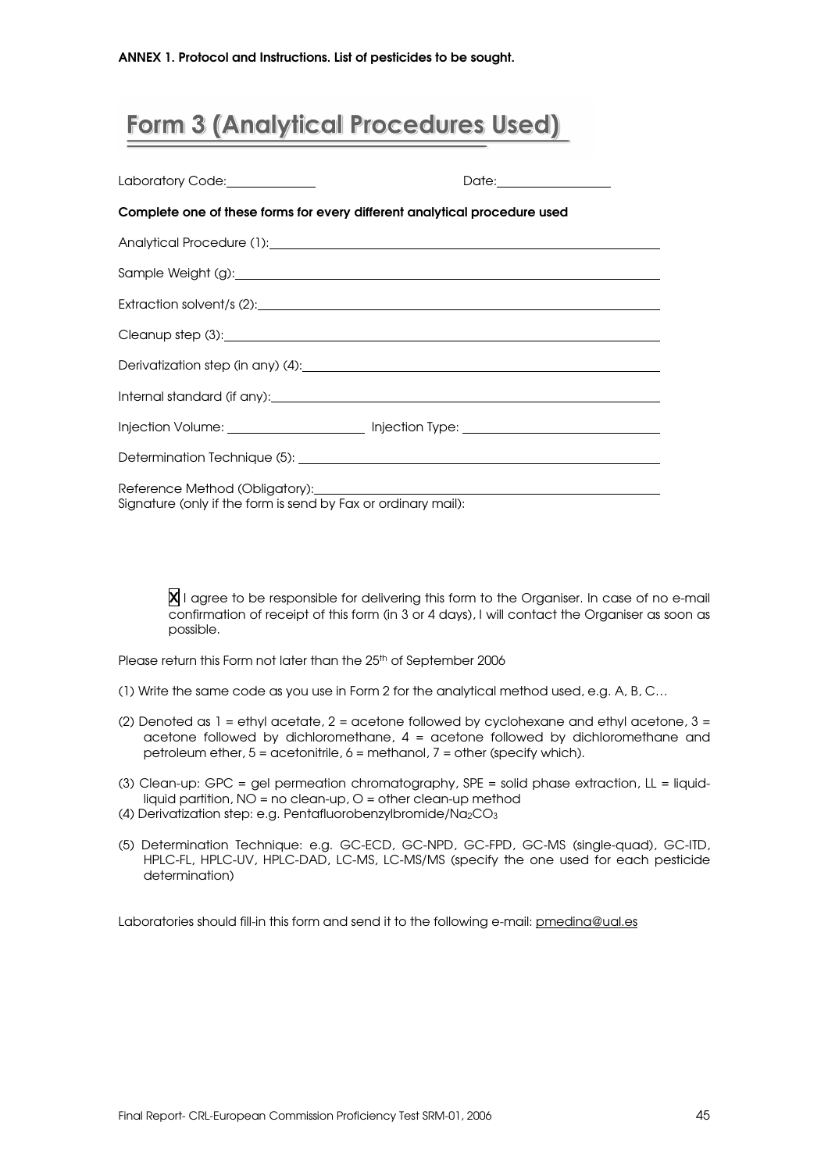## **Form 3 (Analytical Procedures Used)**

|                                                                                                      | Date:________________                                                            |  |  |  |  |  |  |
|------------------------------------------------------------------------------------------------------|----------------------------------------------------------------------------------|--|--|--|--|--|--|
| Complete one of these forms for every different analytical procedure used                            |                                                                                  |  |  |  |  |  |  |
|                                                                                                      |                                                                                  |  |  |  |  |  |  |
|                                                                                                      |                                                                                  |  |  |  |  |  |  |
|                                                                                                      |                                                                                  |  |  |  |  |  |  |
|                                                                                                      |                                                                                  |  |  |  |  |  |  |
|                                                                                                      |                                                                                  |  |  |  |  |  |  |
|                                                                                                      |                                                                                  |  |  |  |  |  |  |
|                                                                                                      | Injection Volume: _______________________ Injection Type: ______________________ |  |  |  |  |  |  |
|                                                                                                      |                                                                                  |  |  |  |  |  |  |
| Reference Method (Obligatory): 2000<br>Signature (only if the form is send by Fax or ordinary mail): |                                                                                  |  |  |  |  |  |  |

X I agree to be responsible for delivering this form to the Organiser. In case of no e-mail confirmation of receipt of this form (in 3 or 4 days), I will contact the Organiser as soon as possible.

Please return this Form not later than the 25<sup>th</sup> of September 2006

- (1) Write the same code as you use in Form 2 for the analytical method used, e.g. A, B, C…
- (2) Denoted as  $1 =$  ethyl acetate,  $2 =$  acetone followed by cyclohexane and ethyl acetone,  $3 =$ acetone followed by dichloromethane, 4 = acetone followed by dichloromethane and petroleum ether, 5 = acetonitrile, 6 = methanol, 7 = other (specify which).
- (3) Clean-up: GPC = gel permeation chromatography, SPE = solid phase extraction, LL = liquidliquid partition,  $NO = no$  clean-up,  $O =$  other clean-up method
- (4) Derivatization step: e.g. Pentafluorobenzylbromide/Na2CO<sup>3</sup>
- (5) Determination Technique: e.g. GC-ECD, GC-NPD, GC-FPD, GC-MS (single-quad), GC-ITD, HPLC-FL, HPLC-UV, HPLC-DAD, LC-MS, LC-MS/MS (specify the one used for each pesticide determination)

Laboratories should fill-in this form and send it to the following e-mail: pmedina@ual.es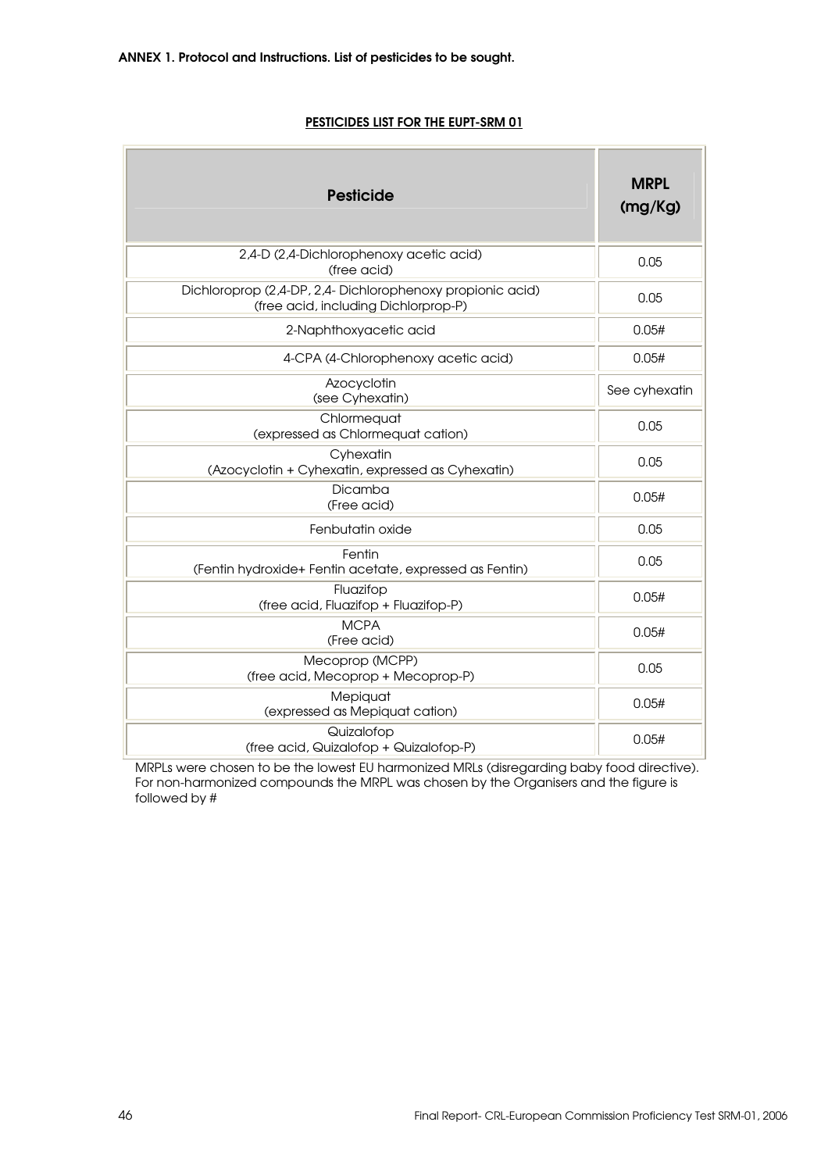### PESTICIDES LIST FOR THE EUPT-SRM 01

| <b>Pesticide</b>                                                                                  | <b>MRPL</b><br>(mg/Kg) |
|---------------------------------------------------------------------------------------------------|------------------------|
| 2,4-D (2,4-Dichlorophenoxy acetic acid)<br>(free acid)                                            | 0.05                   |
| Dichloroprop (2,4-DP, 2,4-Dichlorophenoxy propionic acid)<br>(free acid, including Dichlorprop-P) | 0.05                   |
| 2-Naphthoxyacetic acid                                                                            | 0.05#                  |
| 4-CPA (4-Chlorophenoxy acetic acid)                                                               | 0.05#                  |
| Azocyclotin<br>(see Cyhexatin)                                                                    | See cyhexatin          |
| Chlormequat<br>(expressed as Chlormequat cation)                                                  | 0.05                   |
| Cyhexatin<br>(Azocyclotin + Cyhexatin, expressed as Cyhexatin)                                    | 0.05                   |
| Dicamba<br>(Free acid)                                                                            | 0.05#                  |
| Fenbutatin oxide                                                                                  | 0.05                   |
| Fentin<br>(Fentin hydroxide+ Fentin acetate, expressed as Fentin)                                 | 0.05                   |
| Fluazifop<br>(free acid, Fluazifop + Fluazifop-P)                                                 | 0.05#                  |
| <b>MCPA</b><br>(Free acid)                                                                        | 0.05#                  |
| Mecoprop (MCPP)<br>(free acid, Mecoprop + Mecoprop-P)                                             | 0.05                   |
| Mepiquat<br>(expressed as Mepiquat cation)                                                        | 0.05#                  |
| Quizalofop<br>(free acid, Quizalofop + Quizalofop-P)                                              | 0.05#                  |

MRPLs were chosen to be the lowest EU harmonized MRLs (disregarding baby food directive). For non-harmonized compounds the MRPL was chosen by the Organisers and the figure is followed by #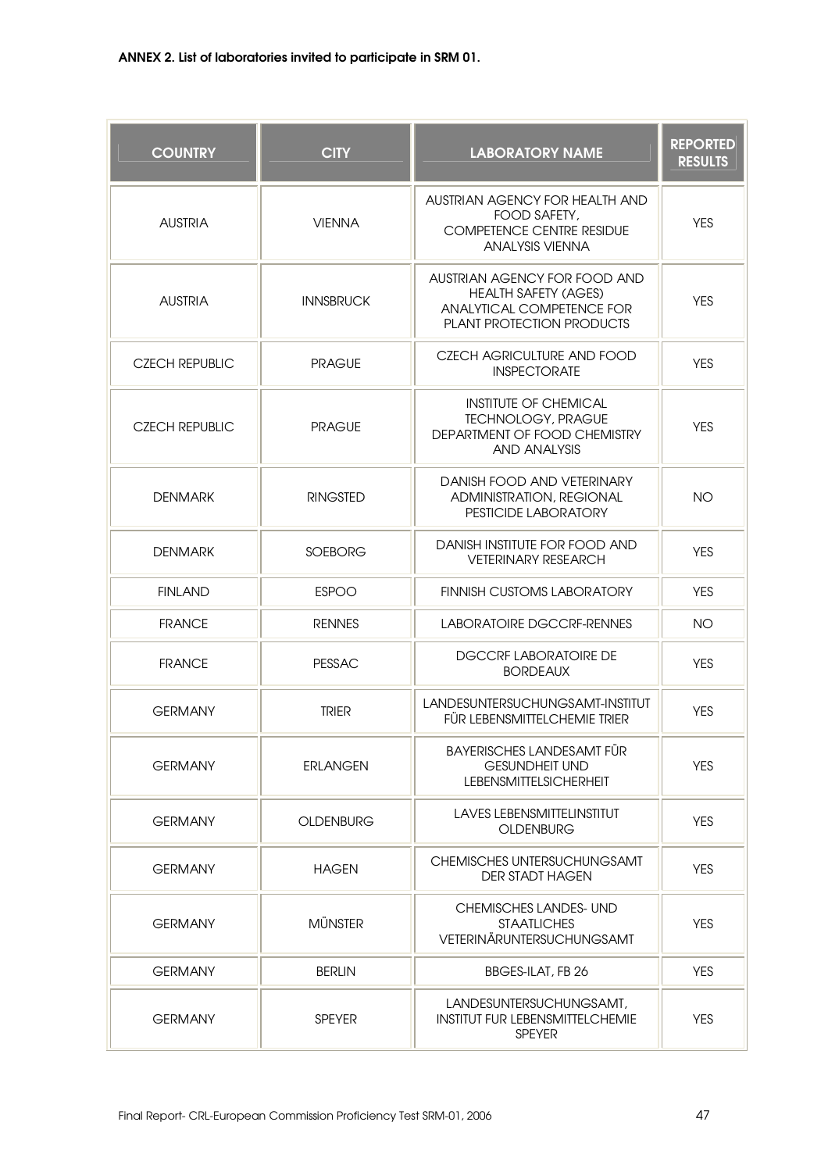| <b>COUNTRY</b>        | <b>CITY</b>      | <b>LABORATORY NAME</b>                                                                                                | <b>REPORTED</b><br><b>RESULTS</b> |
|-----------------------|------------------|-----------------------------------------------------------------------------------------------------------------------|-----------------------------------|
| <b>AUSTRIA</b>        | <b>VIENNA</b>    | AUSTRIAN AGENCY FOR HEALTH AND<br>FOOD SAFETY,<br><b>COMPETENCE CENTRE RESIDUE</b><br><b>ANALYSIS VIENNA</b>          | <b>YES</b>                        |
| <b>AUSTRIA</b>        | <b>INNSBRUCK</b> | AUSTRIAN AGENCY FOR FOOD AND<br><b>HEALTH SAFETY (AGES)</b><br>ANALYTICAL COMPETENCE FOR<br>PLANT PROTECTION PRODUCTS | <b>YES</b>                        |
| <b>CZECH REPUBLIC</b> | <b>PRAGUE</b>    | CZECH AGRICULTURE AND FOOD<br><b>INSPECTORATE</b>                                                                     | <b>YES</b>                        |
| <b>CZECH REPUBLIC</b> | <b>PRAGUE</b>    | <b>INSTITUTE OF CHEMICAL</b><br><b>TECHNOLOGY, PRAGUE</b><br>DEPARTMENT OF FOOD CHEMISTRY<br>AND ANALYSIS             | YES.                              |
| <b>DENMARK</b>        | <b>RINGSTED</b>  | DANISH FOOD AND VETERINARY<br><b>ADMINISTRATION, REGIONAL</b><br>PESTICIDE LABORATORY                                 | <b>NO</b>                         |
| <b>DENMARK</b>        | <b>SOEBORG</b>   | DANISH INSTITUTE FOR FOOD AND<br><b>VETERINARY RESEARCH</b>                                                           | <b>YES</b>                        |
| <b>FINLAND</b>        | <b>ESPOO</b>     | <b>FINNISH CUSTOMS LABORATORY</b>                                                                                     | <b>YES</b>                        |
| <b>FRANCE</b>         | <b>RENNES</b>    | <b>LABORATOIRE DGCCRF-RENNES</b>                                                                                      | <b>NO</b>                         |
| <b>FRANCE</b>         | <b>PESSAC</b>    | <b>DGCCRF LABORATOIRE DE</b><br><b>BORDEAUX</b>                                                                       | <b>YES</b>                        |
| <b>GERMANY</b>        | <b>TRIER</b>     | LANDESUNTERSUCHUNGSAMT-INSTITUT<br>FÜR LEBENSMITTELCHEMIE TRIER                                                       | <b>YES</b>                        |
| <b>GERMANY</b>        | <b>ERLANGEN</b>  | <b>BAYERISCHES LANDESAMT FÜR</b><br><b>GESUNDHEIT UND</b><br><b>LEBENSMITTELSICHERHEIT</b>                            | <b>YES</b>                        |
| <b>GERMANY</b>        | <b>OLDENBURG</b> | <b>LAVES LEBENSMITTELINSTITUT</b><br><b>OLDENBURG</b>                                                                 | <b>YES</b>                        |
| <b>GERMANY</b>        | <b>HAGEN</b>     | <b>CHEMISCHES UNTERSUCHUNGSAMT</b><br><b>DER STADT HAGEN</b>                                                          | <b>YES</b>                        |
| <b>GERMANY</b>        | <b>MÜNSTER</b>   | <b>CHEMISCHES LANDES- UND</b><br><b>STAATLICHES</b><br>VETERINÄRUNTERSUCHUNGSAMT                                      | <b>YES</b>                        |
| <b>GERMANY</b>        | <b>BERLIN</b>    | BBGES-ILAT, FB 26                                                                                                     | <b>YES</b>                        |
| <b>GERMANY</b>        | <b>SPEYER</b>    | LANDESUNTERSUCHUNGSAMT,<br><b>INSTITUT FUR LEBENSMITTELCHEMIE</b><br><b>SPEYER</b>                                    | <b>YES</b>                        |